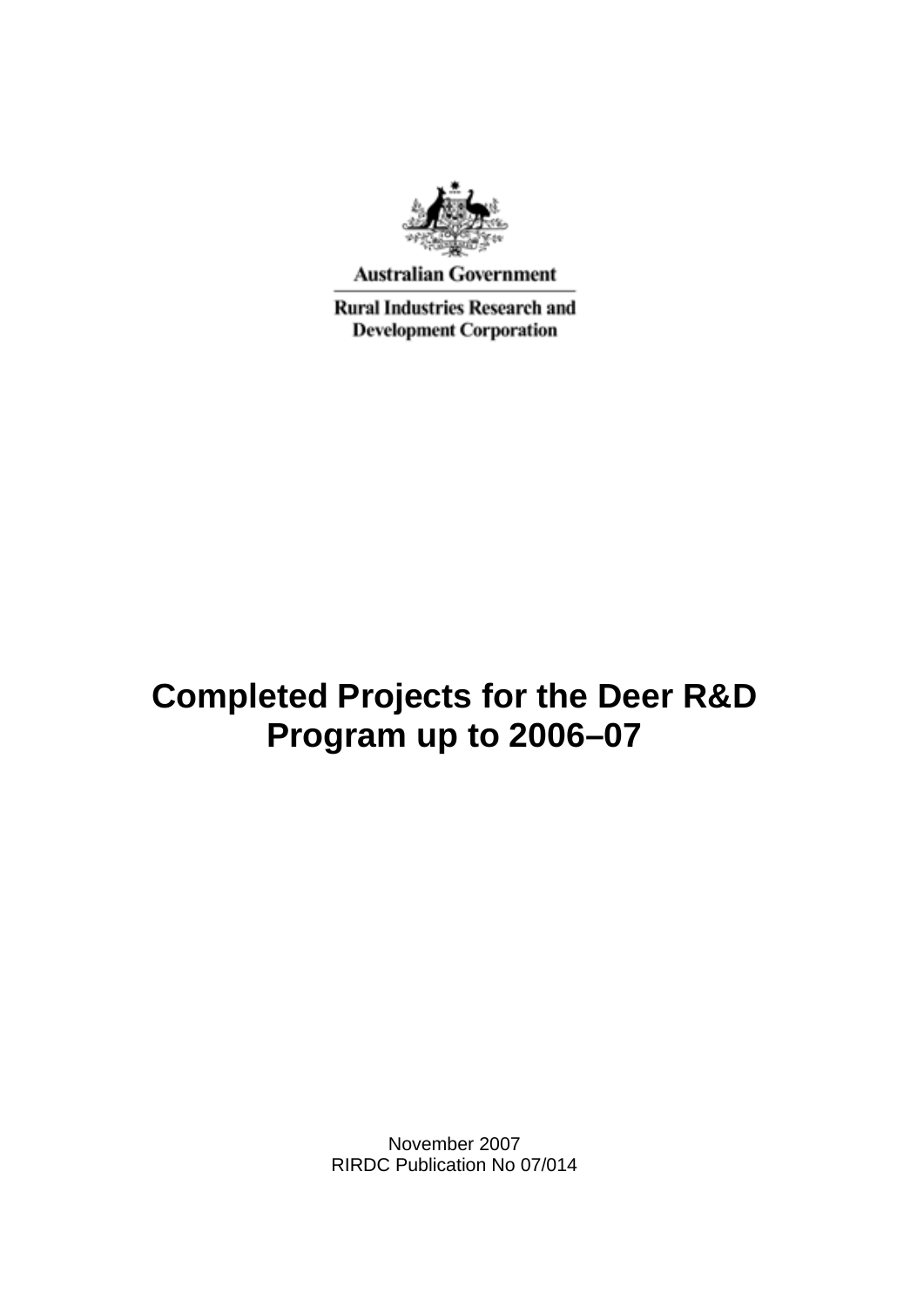

**Australian Government** 

**Rural Industries Research and Development Corporation** 

## **Completed Projects for the Deer R&D Program up to 2006–07**

November 2007 RIRDC Publication No 07/014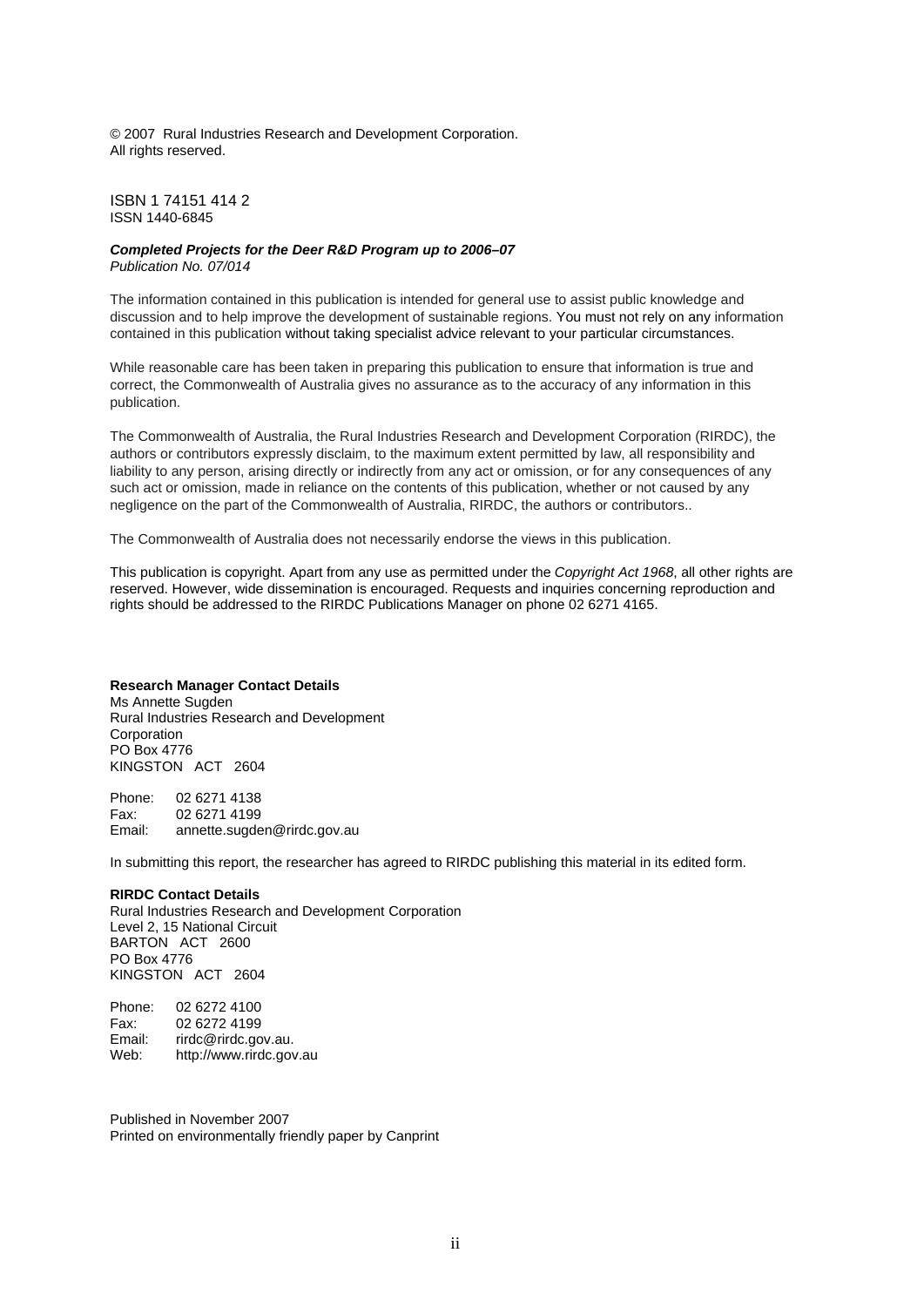© 2007 Rural Industries Research and Development Corporation. All rights reserved.

ISBN 1 74151 414 2 ISSN 1440-6845

#### *Completed Projects for the Deer R&D Program up to 2006–07 Publication No. 07/014*

The information contained in this publication is intended for general use to assist public knowledge and discussion and to help improve the development of sustainable regions. You must not rely on any information contained in this publication without taking specialist advice relevant to your particular circumstances.

While reasonable care has been taken in preparing this publication to ensure that information is true and correct, the Commonwealth of Australia gives no assurance as to the accuracy of any information in this publication.

The Commonwealth of Australia, the Rural Industries Research and Development Corporation (RIRDC), the authors or contributors expressly disclaim, to the maximum extent permitted by law, all responsibility and liability to any person, arising directly or indirectly from any act or omission, or for any consequences of any such act or omission, made in reliance on the contents of this publication, whether or not caused by any negligence on the part of the Commonwealth of Australia, RIRDC, the authors or contributors..

The Commonwealth of Australia does not necessarily endorse the views in this publication.

This publication is copyright. Apart from any use as permitted under the *Copyright Act 1968*, all other rights are reserved. However, wide dissemination is encouraged. Requests and inquiries concerning reproduction and rights should be addressed to the RIRDC Publications Manager on phone 02 6271 4165.

#### **Research Manager Contact Details**

Ms Annette Sugden Rural Industries Research and Development **Corporation** PO Box 4776 KINGSTON ACT 2604

Phone: 02 6271 4138 Fax: 02 6271 4199 Email: annette.sugden@rirdc.gov.au

In submitting this report, the researcher has agreed to RIRDC publishing this material in its edited form.

#### **RIRDC Contact Details**

Rural Industries Research and Development Corporation Level 2, 15 National Circuit BARTON ACT 2600 PO Box 4776 KINGSTON ACT 2604

Phone: 02 6272 4100 Fax: 02 6272 4199<br>Email: rirdc@rirdc.oo rirdc@rirdc.gov.au. Web: http://www.rirdc.gov.au

Published in November 2007 Printed on environmentally friendly paper by Canprint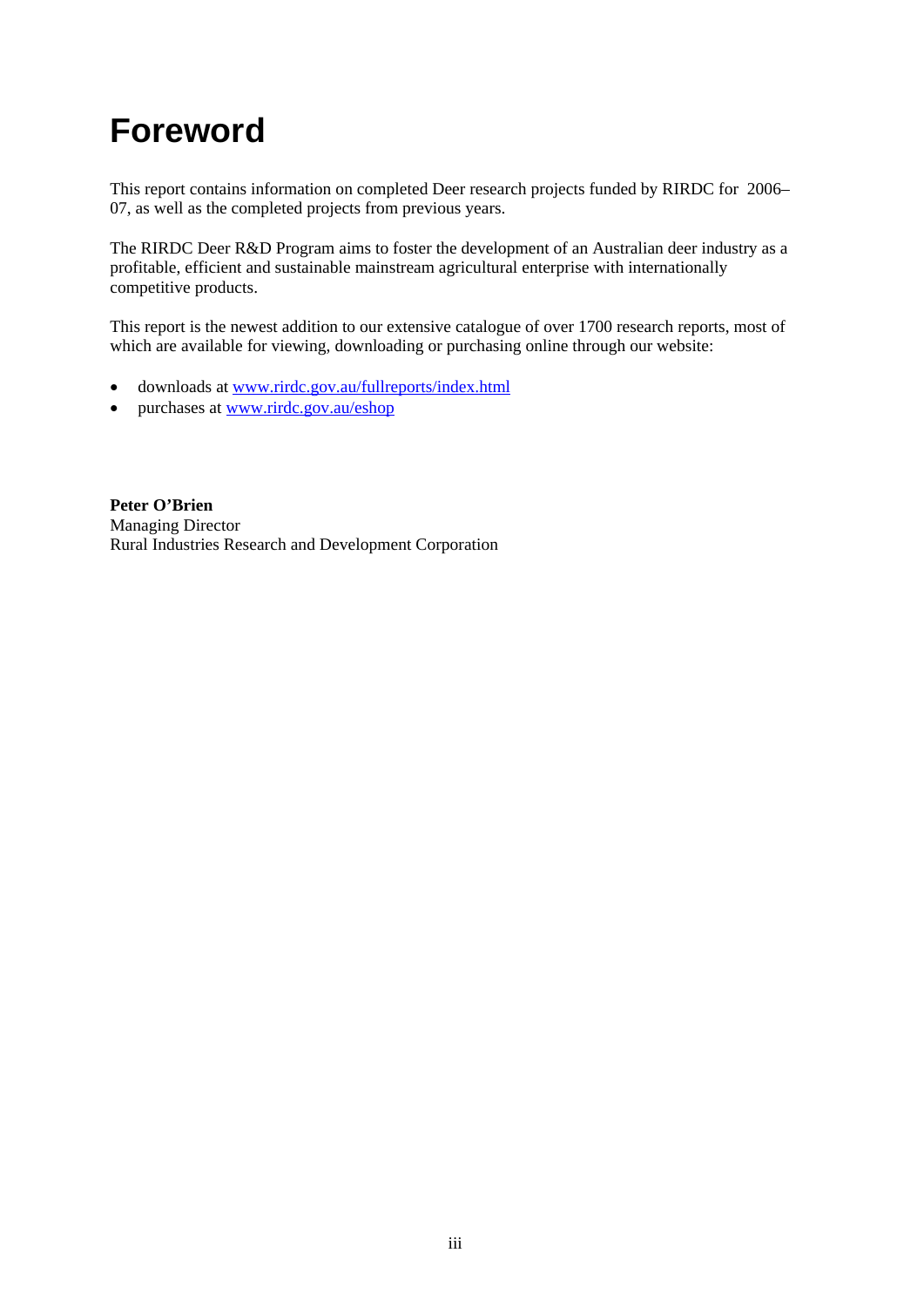# **Foreword**

This report contains information on completed Deer research projects funded by RIRDC for 2006– 07, as well as the completed projects from previous years.

The RIRDC Deer R&D Program aims to foster the development of an Australian deer industry as a profitable, efficient and sustainable mainstream agricultural enterprise with internationally competitive products.

This report is the newest addition to our extensive catalogue of over 1700 research reports, most of which are available for viewing, downloading or purchasing online through our website:

- downloads at [www.rirdc.gov.au/fullreports/index.html](http://www.rirdc.gov.au/fullreports/index.html)
- purchases at [www.rirdc.gov.au/eshop](http://www.rirdc.gov.au/eshop)

**Peter O'Brien**  Managing Director Rural Industries Research and Development Corporation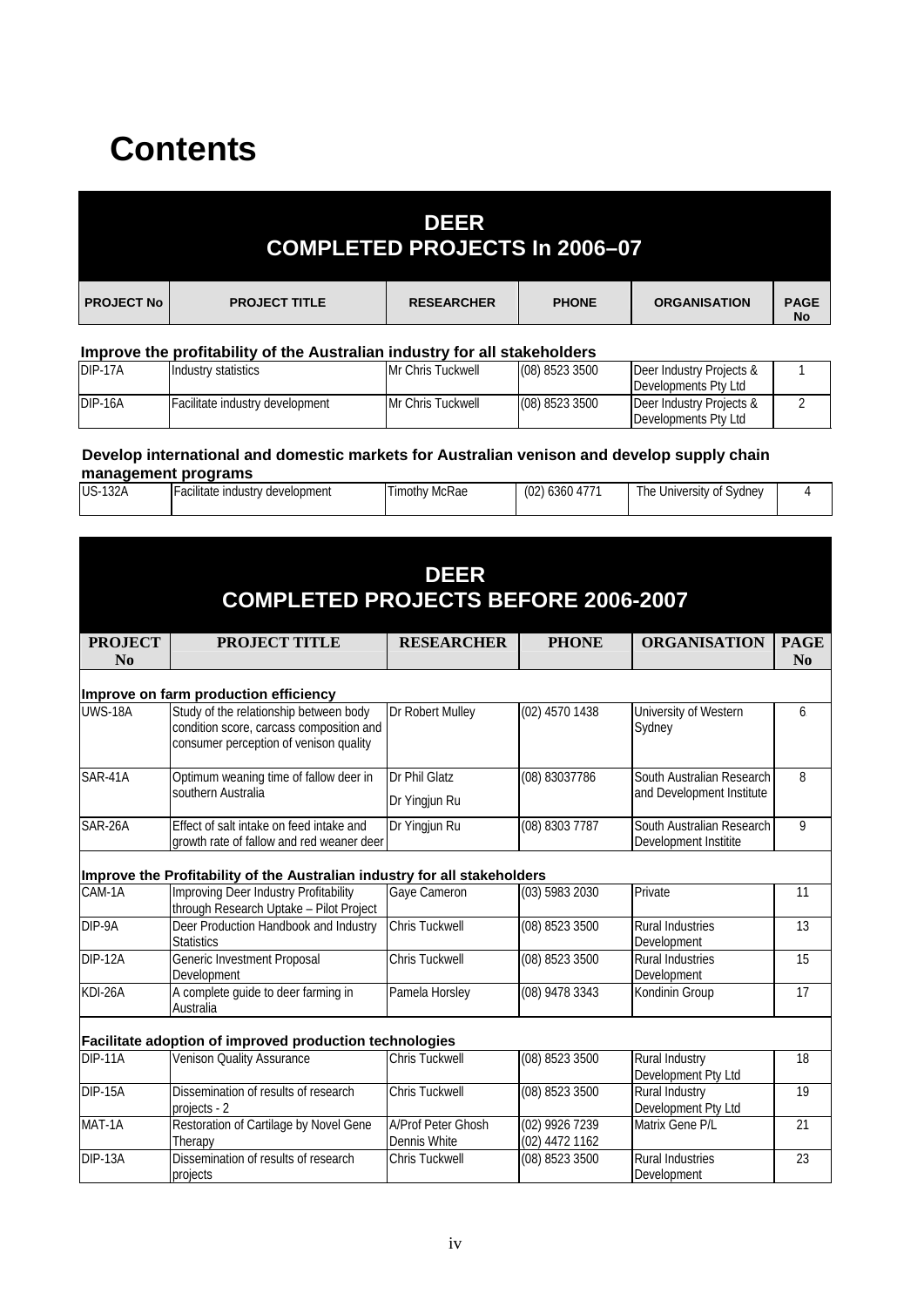# **Contents**

|                   |                      | <b>DEER</b><br><b>COMPLETED PROJECTS In 2006-07</b> |              |                     |                          |
|-------------------|----------------------|-----------------------------------------------------|--------------|---------------------|--------------------------|
| <b>PROJECT No</b> | <b>PROJECT TITLE</b> | <b>RESEARCHER</b>                                   | <b>PHONE</b> | <b>ORGANISATION</b> | <b>PAGE</b><br><b>No</b> |

### **Improve the profitability of the Australian industry for all stakeholders**

| DIP-17A | Industry statistics             | Mr Chris Tuckwell | (08) 8523 3500 | Deer Industry Projects & |  |
|---------|---------------------------------|-------------------|----------------|--------------------------|--|
|         |                                 |                   |                | Developments Pty Ltd     |  |
| DIP-16A | Facilitate industry development | Mr Chris Tuckwell | (08) 8523 3500 | Deer Industry Projects & |  |
|         |                                 |                   |                | Developments Pty Ltd     |  |

#### **Develop international and domestic markets for Australian venison and develop supply chain management programs**

| 177<br>$\sim$ |                |                                       |                   |                |                                   |  |
|---------------|----------------|---------------------------------------|-------------------|----------------|-----------------------------------|--|
|               | $US-1$<br>132A | development<br>:ilitate<br>: industrv | McRae<br>l imothy | (02)<br>636047 | Sydney<br>' he<br>University of ' |  |

| <b>DEER</b><br><b>COMPLETED PROJECTS BEFORE 2006-2007</b> |                                                                                                                              |                                           |                                  |                                                        |                                     |
|-----------------------------------------------------------|------------------------------------------------------------------------------------------------------------------------------|-------------------------------------------|----------------------------------|--------------------------------------------------------|-------------------------------------|
| <b>PROJECT</b><br>No                                      | <b>PROJECT TITLE</b>                                                                                                         | <b>RESEARCHER</b>                         | <b>PHONE</b>                     | <b>ORGANISATION</b>                                    | <b>PAGE</b><br>$\bf N$ <sub>0</sub> |
|                                                           | Improve on farm production efficiency                                                                                        |                                           |                                  |                                                        |                                     |
| <b>UWS-18A</b>                                            | Study of the relationship between body<br>condition score, carcass composition and<br>consumer perception of venison quality | Dr Robert Mulley                          | $(02)$ 4570 1438                 | University of Western<br>Sydney                        | 6                                   |
| SAR-41A                                                   | Optimum weaning time of fallow deer in<br>southern Australia                                                                 | Dr Phil Glatz<br>Dr Yingjun Ru            | (08) 83037786                    | South Australian Research<br>and Development Institute | 8                                   |
| SAR-26A                                                   | Effect of salt intake on feed intake and<br>growth rate of fallow and red weaner deer                                        | Dr Yingjun Ru                             | (08) 8303 7787                   | South Australian Research<br>Development Institite     | 9                                   |
|                                                           | Improve the Profitability of the Australian industry for all stakeholders                                                    |                                           |                                  |                                                        |                                     |
| CAM-1A                                                    | Improving Deer Industry Profitability<br>through Research Uptake - Pilot Project                                             | Gaye Cameron                              | $(03)$ 5983 2030                 | Private                                                | 11                                  |
| DIP-9A                                                    | Deer Production Handbook and Industry<br><b>Statistics</b>                                                                   | <b>Chris Tuckwell</b>                     | (08) 8523 3500                   | Rural Industries<br>Development                        | $\overline{13}$                     |
| DIP-12A                                                   | Generic Investment Proposal<br>Development                                                                                   | Chris Tuckwell                            | (08) 8523 3500                   | Rural Industries<br>Development                        | $\overline{15}$                     |
| $KDI-26A$                                                 | A complete guide to deer farming in<br>Australia                                                                             | Pamela Horsley                            | (08) 9478 3343                   | Kondinin Group                                         | 17                                  |
|                                                           | Facilitate adoption of improved production technologies                                                                      |                                           |                                  |                                                        |                                     |
| <b>DIP-11A</b>                                            | <b>Venison Quality Assurance</b>                                                                                             | Chris Tuckwell                            | (08) 8523 3500                   | Rural Industry<br>Development Pty Ltd                  | 18                                  |
| <b>DIP-15A</b>                                            | Dissemination of results of research<br>projects - 2                                                                         | <b>Chris Tuckwell</b>                     | (08) 8523 3500                   | Rural Industry<br>Development Pty Ltd                  | 19                                  |
| MAT-1A                                                    | Restoration of Cartilage by Novel Gene<br>Therapy                                                                            | <b>A/Prof Peter Ghosh</b><br>Dennis White | (02) 9926 7239<br>(02) 4472 1162 | Matrix Gene P/L                                        | 21                                  |
| DIP-13A                                                   | Dissemination of results of research<br>projects                                                                             | Chris Tuckwell                            | (08) 8523 3500                   | <b>Rural Industries</b><br>Development                 | 23                                  |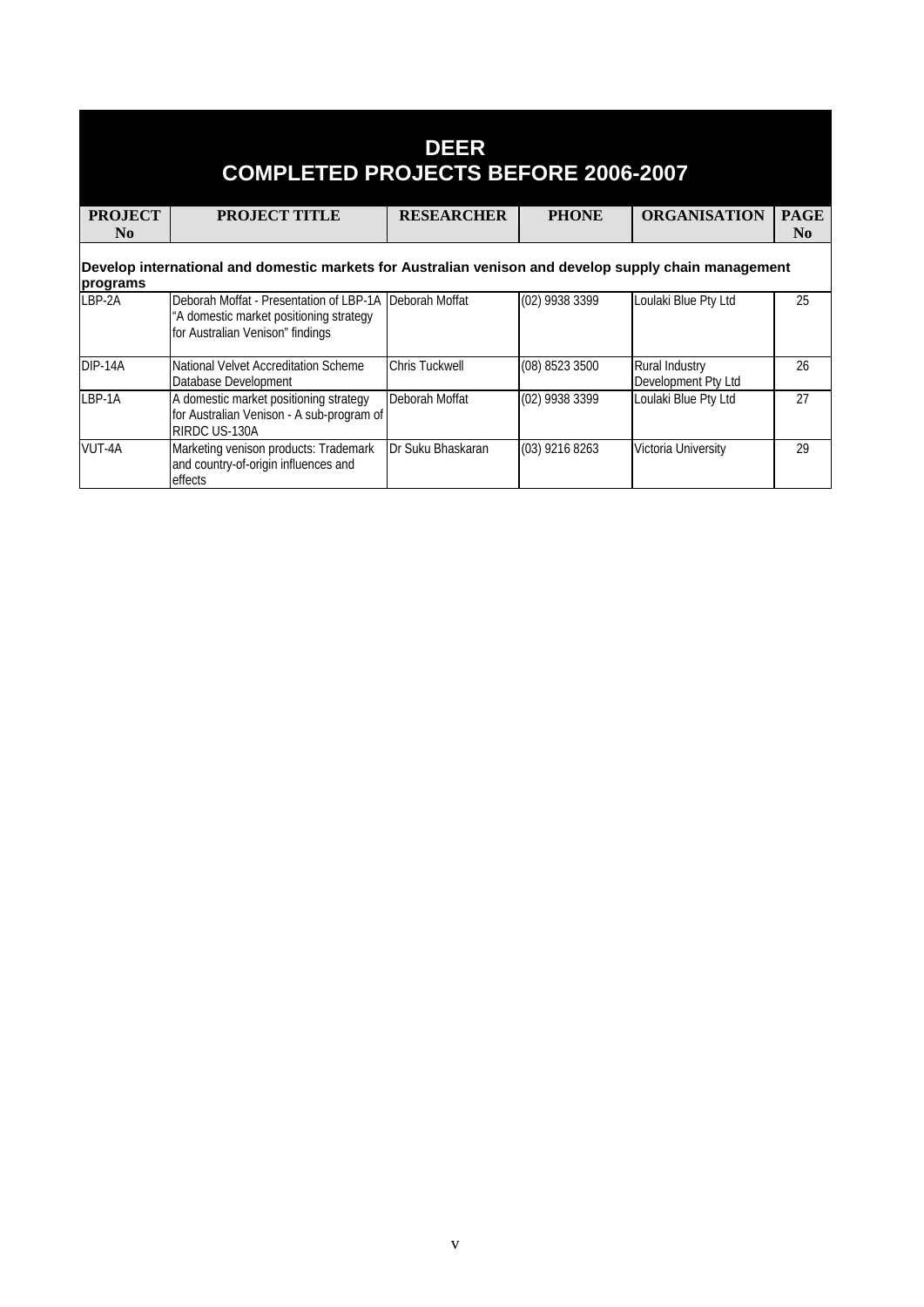| <b>DEER</b><br><b>COMPLETED PROJECTS BEFORE 2006-2007</b> |                                                                                                                        |                   |                |                                              |             |
|-----------------------------------------------------------|------------------------------------------------------------------------------------------------------------------------|-------------------|----------------|----------------------------------------------|-------------|
| <b>PROJECT</b>                                            | <b>PROJECT TITLE</b>                                                                                                   | <b>RESEARCHER</b> | <b>PHONE</b>   | <b>ORGANISATION</b>                          | <b>PAGE</b> |
| N <sub>0</sub>                                            |                                                                                                                        |                   |                |                                              | $\bf No$    |
| programs                                                  | Develop international and domestic markets for Australian venison and develop supply chain management                  |                   |                |                                              |             |
| LBP-2A                                                    | Deborah Moffat - Presentation of LBP-1A<br>"A domestic market positioning strategy<br>for Australian Venison" findings | Deborah Moffat    | (02) 9938 3399 | Loulaki Blue Pty Ltd                         | 25          |
| DIP-14A                                                   | National Velvet Accreditation Scheme<br>Database Development                                                           | Chris Tuckwell    | (08) 8523 3500 | <b>Rural Industry</b><br>Development Pty Ltd | 26          |
| LBP-1A                                                    | A domestic market positioning strategy<br>for Australian Venison - A sub-program of<br>RIRDC US-130A                   | Deborah Moffat    | (02) 9938 3399 | Loulaki Blue Pty Ltd                         | 27          |
| VUT-4A                                                    | Marketing venison products: Trademark<br>and country-of-origin influences and<br>effects                               | Dr Suku Bhaskaran | (03) 9216 8263 | Victoria University                          | 29          |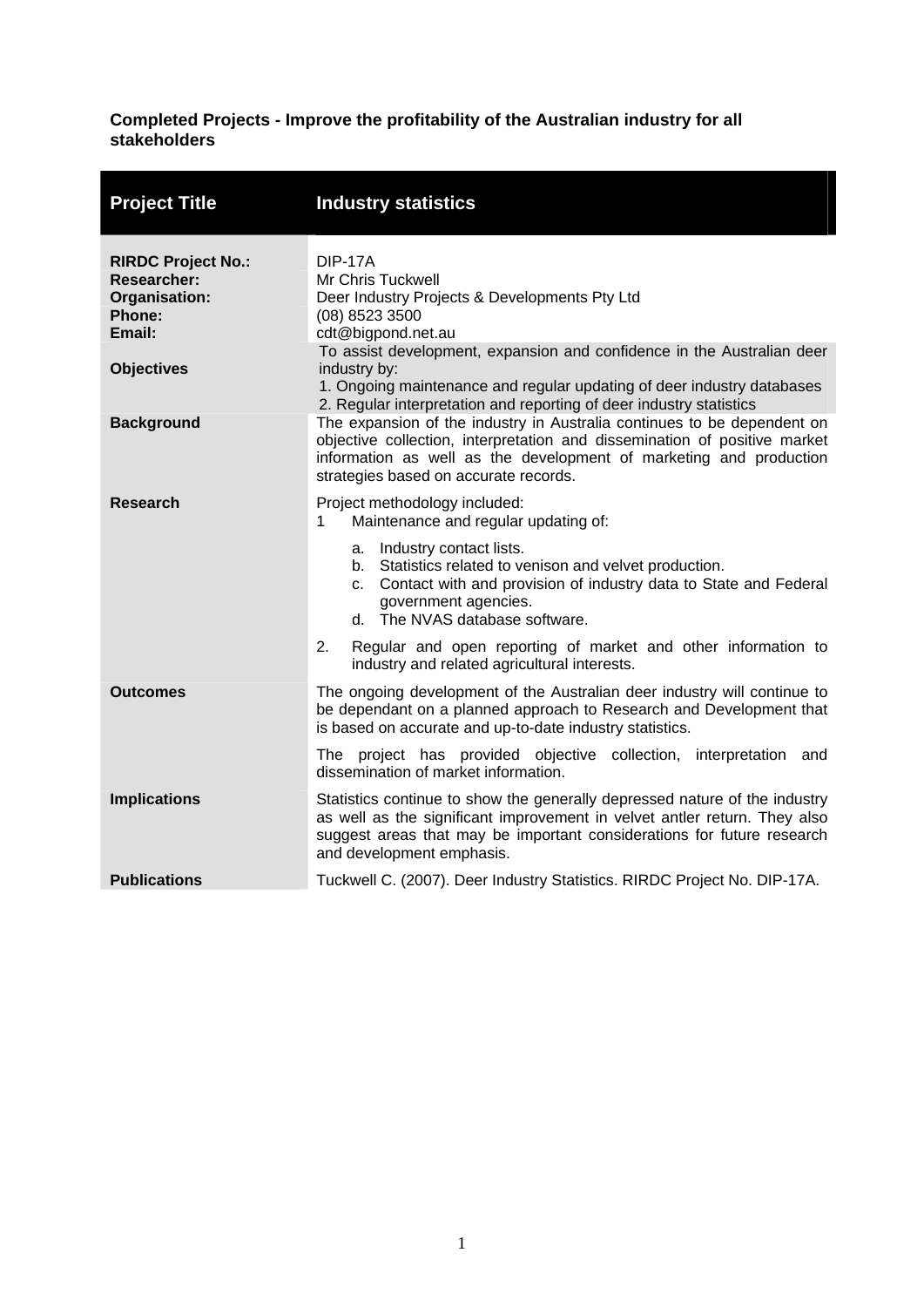#### <span id="page-5-0"></span>**Completed Projects - Improve the profitability of the Australian industry for all stakeholders**

| <b>Project Title</b>                                                                                      | <b>Industry statistics</b>                                                                                                                                                                                                                                                                                                                                                                                           |
|-----------------------------------------------------------------------------------------------------------|----------------------------------------------------------------------------------------------------------------------------------------------------------------------------------------------------------------------------------------------------------------------------------------------------------------------------------------------------------------------------------------------------------------------|
| <b>RIRDC Project No.:</b><br><b>Researcher:</b><br>Organisation:<br>Phone:<br>Email:<br><b>Objectives</b> | <b>DIP-17A</b><br>Mr Chris Tuckwell<br>Deer Industry Projects & Developments Pty Ltd<br>(08) 8523 3500<br>cdt@bigpond.net.au<br>To assist development, expansion and confidence in the Australian deer<br>industry by:                                                                                                                                                                                               |
| <b>Background</b>                                                                                         | 1. Ongoing maintenance and regular updating of deer industry databases<br>2. Regular interpretation and reporting of deer industry statistics<br>The expansion of the industry in Australia continues to be dependent on<br>objective collection, interpretation and dissemination of positive market<br>information as well as the development of marketing and production<br>strategies based on accurate records. |
| <b>Research</b>                                                                                           | Project methodology included:<br>Maintenance and regular updating of:<br>1.<br>a. Industry contact lists.<br>b. Statistics related to venison and velvet production.<br>c. Contact with and provision of industry data to State and Federal<br>government agencies.<br>d. The NVAS database software.                                                                                                                |
|                                                                                                           | Regular and open reporting of market and other information to<br>2.<br>industry and related agricultural interests.                                                                                                                                                                                                                                                                                                  |
| <b>Outcomes</b>                                                                                           | The ongoing development of the Australian deer industry will continue to<br>be dependant on a planned approach to Research and Development that<br>is based on accurate and up-to-date industry statistics.                                                                                                                                                                                                          |
|                                                                                                           | The project has provided objective collection, interpretation and<br>dissemination of market information.                                                                                                                                                                                                                                                                                                            |
| <b>Implications</b>                                                                                       | Statistics continue to show the generally depressed nature of the industry<br>as well as the significant improvement in velvet antler return. They also<br>suggest areas that may be important considerations for future research<br>and development emphasis.                                                                                                                                                       |
| <b>Publications</b>                                                                                       | Tuckwell C. (2007). Deer Industry Statistics. RIRDC Project No. DIP-17A.                                                                                                                                                                                                                                                                                                                                             |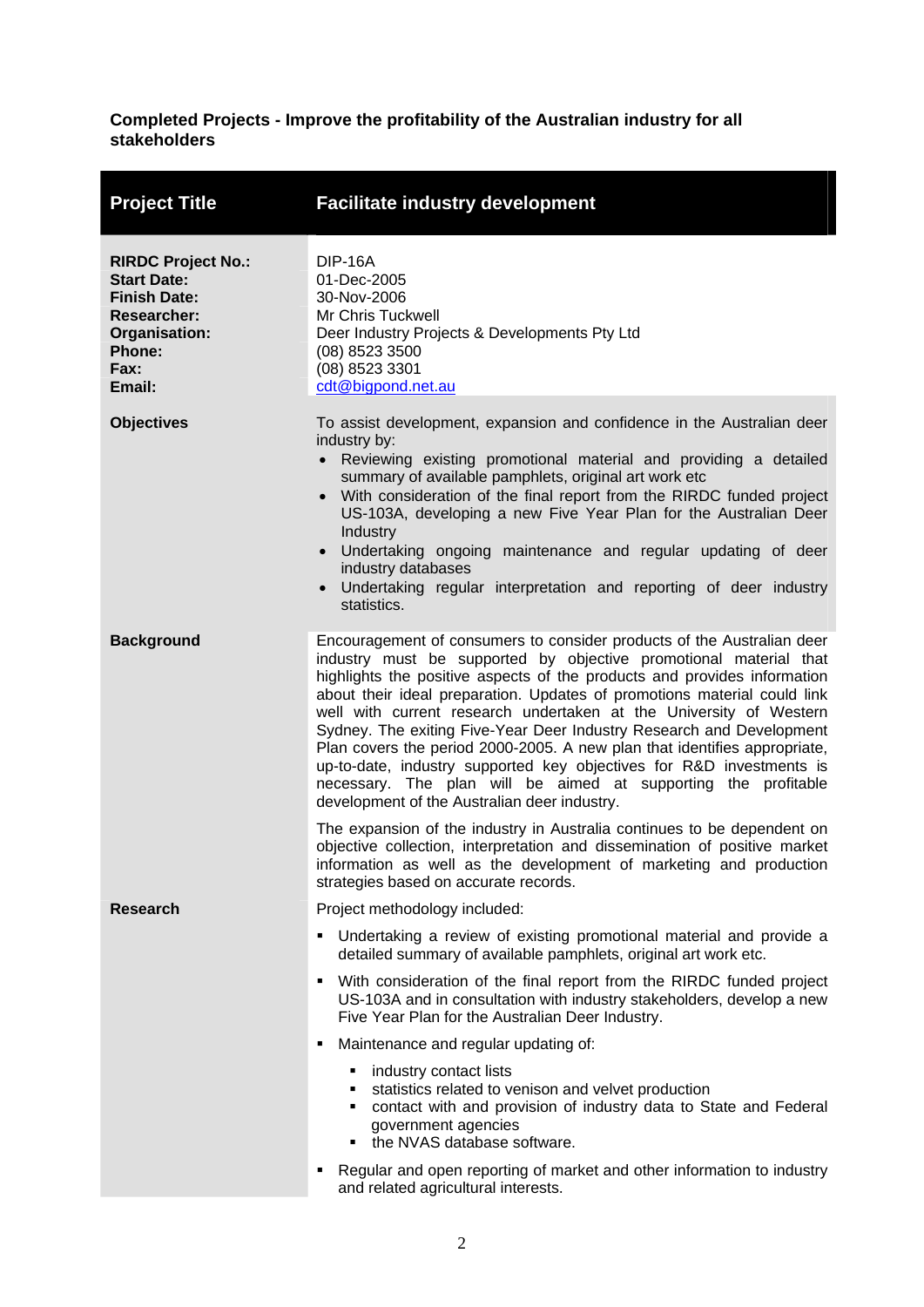#### <span id="page-6-0"></span>**Completed Projects - Improve the profitability of the Australian industry for all stakeholders**

| <b>Project Title</b>                                                                                                                      | <b>Facilitate industry development</b>                                                                                                                                                                                                                                                                                                                                                                                                                                                                                                                                                                                                                                                                                   |
|-------------------------------------------------------------------------------------------------------------------------------------------|--------------------------------------------------------------------------------------------------------------------------------------------------------------------------------------------------------------------------------------------------------------------------------------------------------------------------------------------------------------------------------------------------------------------------------------------------------------------------------------------------------------------------------------------------------------------------------------------------------------------------------------------------------------------------------------------------------------------------|
| <b>RIRDC Project No.:</b><br><b>Start Date:</b><br><b>Finish Date:</b><br><b>Researcher:</b><br>Organisation:<br>Phone:<br>Fax:<br>Email: | DIP-16A<br>01-Dec-2005<br>30-Nov-2006<br>Mr Chris Tuckwell<br>Deer Industry Projects & Developments Pty Ltd<br>(08) 8523 3500<br>(08) 8523 3301<br>cdt@bigpond.net.au                                                                                                                                                                                                                                                                                                                                                                                                                                                                                                                                                    |
| <b>Objectives</b>                                                                                                                         | To assist development, expansion and confidence in the Australian deer<br>industry by:<br>Reviewing existing promotional material and providing a detailed<br>summary of available pamphlets, original art work etc<br>• With consideration of the final report from the RIRDC funded project<br>US-103A, developing a new Five Year Plan for the Australian Deer<br>Industry<br>Undertaking ongoing maintenance and regular updating of deer<br>$\bullet$<br>industry databases<br>Undertaking regular interpretation and reporting of deer industry<br>$\bullet$<br>statistics.                                                                                                                                        |
| <b>Background</b>                                                                                                                         | Encouragement of consumers to consider products of the Australian deer<br>industry must be supported by objective promotional material that<br>highlights the positive aspects of the products and provides information<br>about their ideal preparation. Updates of promotions material could link<br>well with current research undertaken at the University of Western<br>Sydney. The exiting Five-Year Deer Industry Research and Development<br>Plan covers the period 2000-2005. A new plan that identifies appropriate,<br>up-to-date, industry supported key objectives for R&D investments is<br>necessary. The plan will be aimed at supporting the profitable<br>development of the Australian deer industry. |
|                                                                                                                                           | The expansion of the industry in Australia continues to be dependent on<br>objective collection, interpretation and dissemination of positive market<br>information as well as the development of marketing and production<br>strategies based on accurate records.                                                                                                                                                                                                                                                                                                                                                                                                                                                      |
| <b>Research</b>                                                                                                                           | Project methodology included:                                                                                                                                                                                                                                                                                                                                                                                                                                                                                                                                                                                                                                                                                            |
|                                                                                                                                           | Undertaking a review of existing promotional material and provide a<br>٠<br>detailed summary of available pamphlets, original art work etc.                                                                                                                                                                                                                                                                                                                                                                                                                                                                                                                                                                              |
|                                                                                                                                           | With consideration of the final report from the RIRDC funded project<br>US-103A and in consultation with industry stakeholders, develop a new<br>Five Year Plan for the Australian Deer Industry.                                                                                                                                                                                                                                                                                                                                                                                                                                                                                                                        |
|                                                                                                                                           | Maintenance and regular updating of:                                                                                                                                                                                                                                                                                                                                                                                                                                                                                                                                                                                                                                                                                     |
|                                                                                                                                           | industry contact lists<br>٠<br>statistics related to venison and velvet production<br>٠<br>• contact with and provision of industry data to State and Federal<br>government agencies<br>the NVAS database software.                                                                                                                                                                                                                                                                                                                                                                                                                                                                                                      |
|                                                                                                                                           | Regular and open reporting of market and other information to industry<br>and related agricultural interests.                                                                                                                                                                                                                                                                                                                                                                                                                                                                                                                                                                                                            |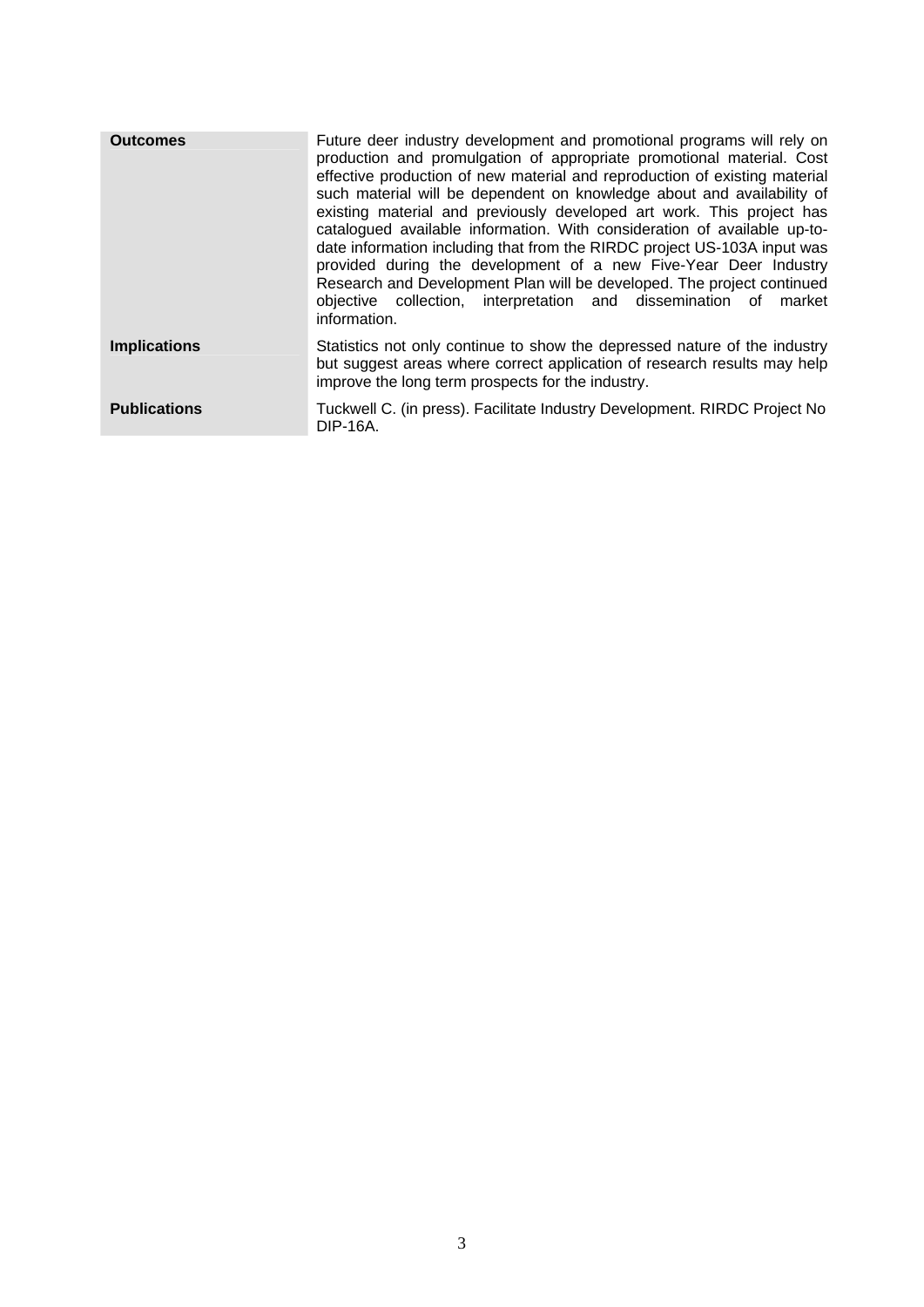| <b>Outcomes</b>     | Future deer industry development and promotional programs will rely on<br>production and promulgation of appropriate promotional material. Cost<br>effective production of new material and reproduction of existing material<br>such material will be dependent on knowledge about and availability of<br>existing material and previously developed art work. This project has<br>catalogued available information. With consideration of available up-to-<br>date information including that from the RIRDC project US-103A input was<br>provided during the development of a new Five-Year Deer Industry<br>Research and Development Plan will be developed. The project continued<br>objective collection, interpretation and dissemination of market<br>information. |
|---------------------|----------------------------------------------------------------------------------------------------------------------------------------------------------------------------------------------------------------------------------------------------------------------------------------------------------------------------------------------------------------------------------------------------------------------------------------------------------------------------------------------------------------------------------------------------------------------------------------------------------------------------------------------------------------------------------------------------------------------------------------------------------------------------|
| <b>Implications</b> | Statistics not only continue to show the depressed nature of the industry<br>but suggest areas where correct application of research results may help<br>improve the long term prospects for the industry.                                                                                                                                                                                                                                                                                                                                                                                                                                                                                                                                                                 |
| <b>Publications</b> | Tuckwell C. (in press). Facilitate Industry Development. RIRDC Project No<br>DIP-16A.                                                                                                                                                                                                                                                                                                                                                                                                                                                                                                                                                                                                                                                                                      |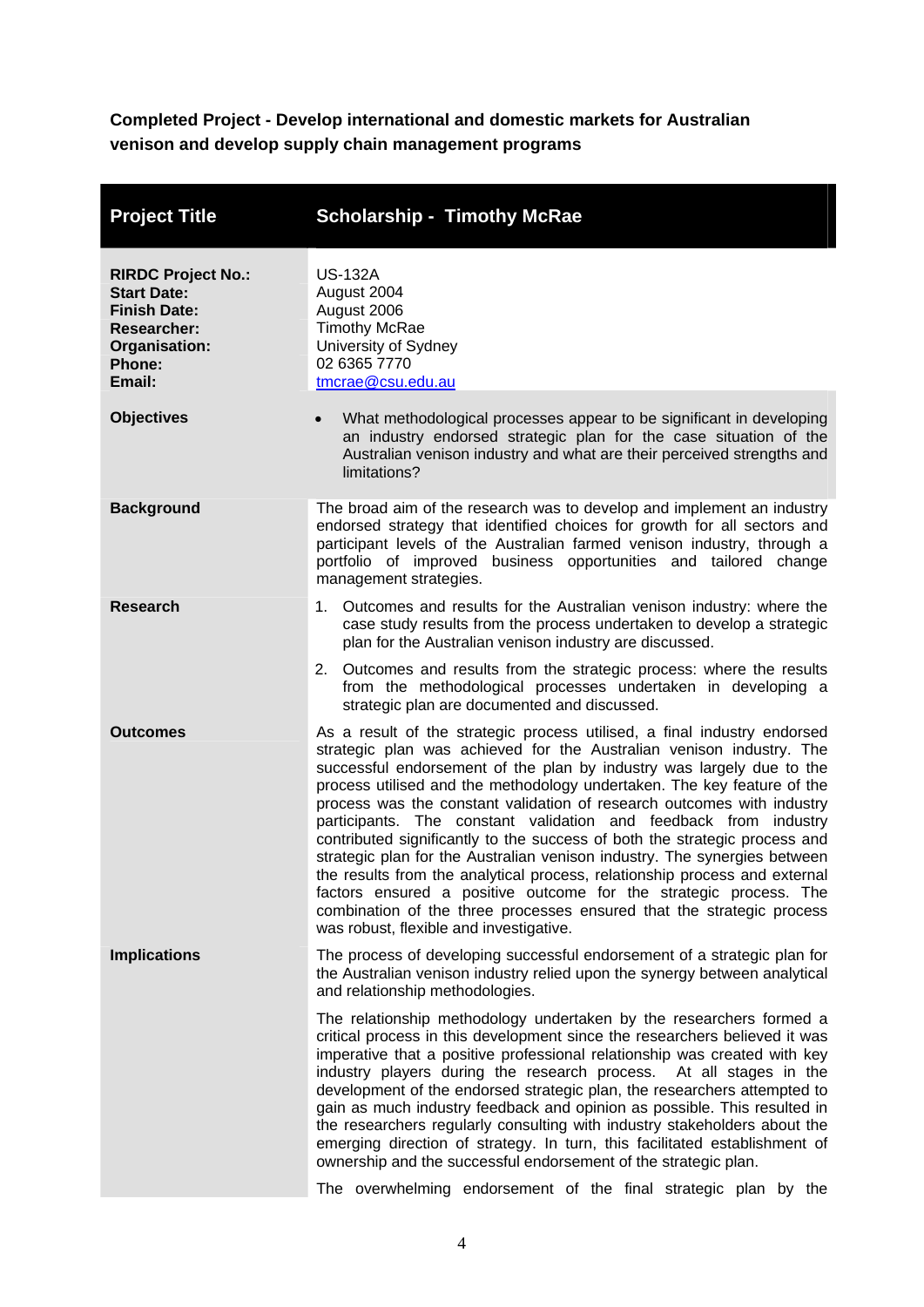<span id="page-8-0"></span>**Completed Project - Develop international and domestic markets for Australian venison and develop supply chain management programs** 

| <b>Project Title</b>                                                                                                              | <b>Scholarship - Timothy McRae</b>                                                                                                                                                                                                                                                                                                                                                                                                                                                                                                                                                                                                                                                                                                                                                                                                                                                   |
|-----------------------------------------------------------------------------------------------------------------------------------|--------------------------------------------------------------------------------------------------------------------------------------------------------------------------------------------------------------------------------------------------------------------------------------------------------------------------------------------------------------------------------------------------------------------------------------------------------------------------------------------------------------------------------------------------------------------------------------------------------------------------------------------------------------------------------------------------------------------------------------------------------------------------------------------------------------------------------------------------------------------------------------|
| <b>RIRDC Project No.:</b><br><b>Start Date:</b><br><b>Finish Date:</b><br><b>Researcher:</b><br>Organisation:<br>Phone:<br>Email: | <b>US-132A</b><br>August 2004<br>August 2006<br><b>Timothy McRae</b><br>University of Sydney<br>02 6365 7770<br>tmcrae@csu.edu.au                                                                                                                                                                                                                                                                                                                                                                                                                                                                                                                                                                                                                                                                                                                                                    |
| <b>Objectives</b>                                                                                                                 | What methodological processes appear to be significant in developing<br>$\bullet$<br>an industry endorsed strategic plan for the case situation of the<br>Australian venison industry and what are their perceived strengths and<br>limitations?                                                                                                                                                                                                                                                                                                                                                                                                                                                                                                                                                                                                                                     |
| <b>Background</b>                                                                                                                 | The broad aim of the research was to develop and implement an industry<br>endorsed strategy that identified choices for growth for all sectors and<br>participant levels of the Australian farmed venison industry, through a<br>portfolio of improved business opportunities and tailored change<br>management strategies.                                                                                                                                                                                                                                                                                                                                                                                                                                                                                                                                                          |
| <b>Research</b>                                                                                                                   | 1. Outcomes and results for the Australian venison industry: where the<br>case study results from the process undertaken to develop a strategic<br>plan for the Australian venison industry are discussed.                                                                                                                                                                                                                                                                                                                                                                                                                                                                                                                                                                                                                                                                           |
|                                                                                                                                   | 2. Outcomes and results from the strategic process: where the results<br>from the methodological processes undertaken in developing a<br>strategic plan are documented and discussed.                                                                                                                                                                                                                                                                                                                                                                                                                                                                                                                                                                                                                                                                                                |
| <b>Outcomes</b>                                                                                                                   | As a result of the strategic process utilised, a final industry endorsed<br>strategic plan was achieved for the Australian venison industry. The<br>successful endorsement of the plan by industry was largely due to the<br>process utilised and the methodology undertaken. The key feature of the<br>process was the constant validation of research outcomes with industry<br>participants. The constant validation and feedback from industry<br>contributed significantly to the success of both the strategic process and<br>strategic plan for the Australian venison industry. The synergies between<br>the results from the analytical process, relationship process and external<br>factors ensured a positive outcome for the strategic process. The<br>combination of the three processes ensured that the strategic process<br>was robust, flexible and investigative. |
| <b>Implications</b>                                                                                                               | The process of developing successful endorsement of a strategic plan for<br>the Australian venison industry relied upon the synergy between analytical<br>and relationship methodologies.                                                                                                                                                                                                                                                                                                                                                                                                                                                                                                                                                                                                                                                                                            |
|                                                                                                                                   | The relationship methodology undertaken by the researchers formed a<br>critical process in this development since the researchers believed it was<br>imperative that a positive professional relationship was created with key<br>industry players during the research process. At all stages in the<br>development of the endorsed strategic plan, the researchers attempted to<br>gain as much industry feedback and opinion as possible. This resulted in<br>the researchers regularly consulting with industry stakeholders about the<br>emerging direction of strategy. In turn, this facilitated establishment of<br>ownership and the successful endorsement of the strategic plan.<br>The overwhelming endorsement of the final strategic plan by the                                                                                                                        |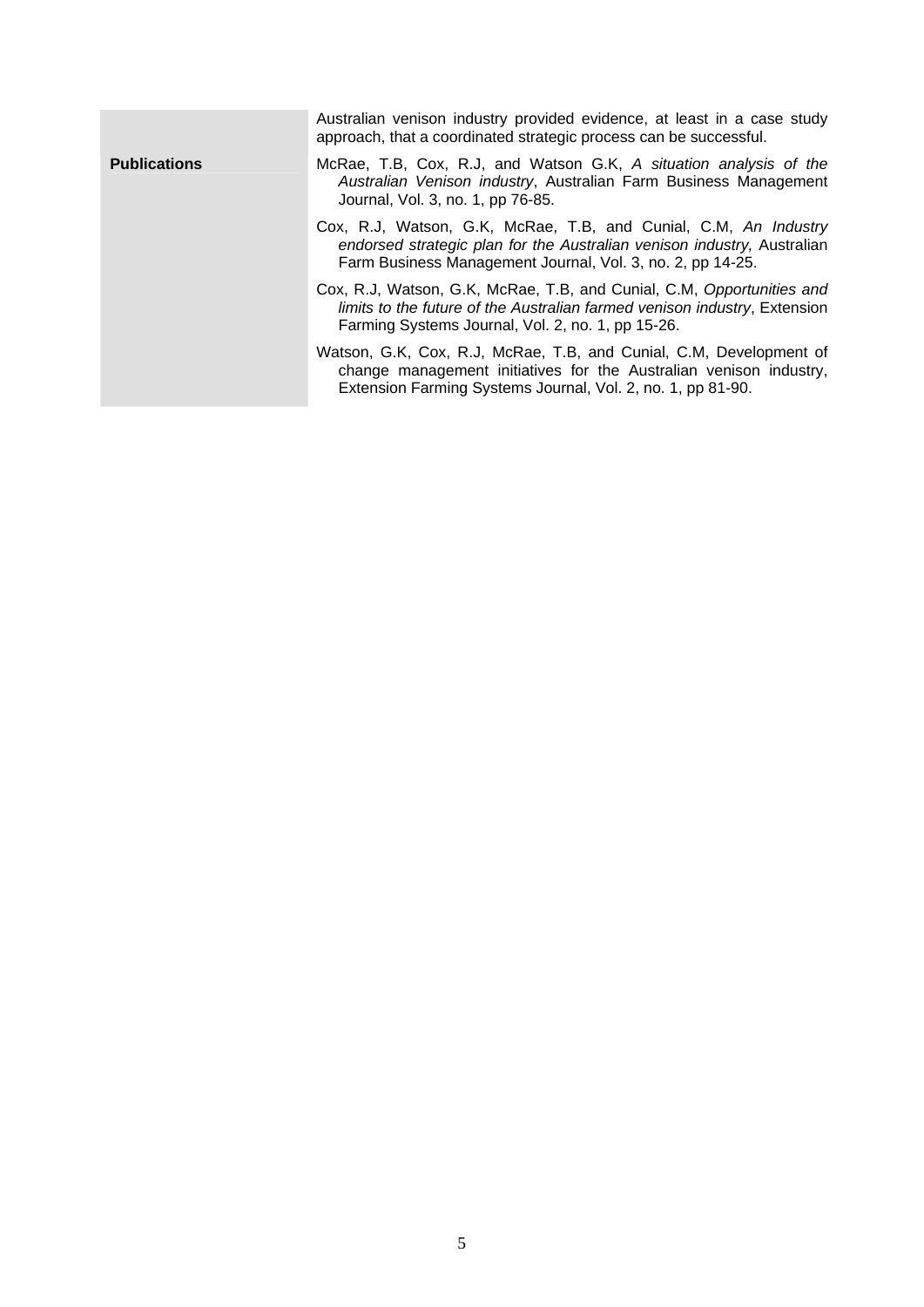|                     | Australian venison industry provided evidence, at least in a case study<br>approach, that a coordinated strategic process can be successful.                                                             |
|---------------------|----------------------------------------------------------------------------------------------------------------------------------------------------------------------------------------------------------|
| <b>Publications</b> | McRae, T.B, Cox, R.J, and Watson G.K, A situation analysis of the<br>Australian Venison industry, Australian Farm Business Management<br>Journal, Vol. 3, no. 1, pp 76-85.                               |
|                     | Cox, R.J, Watson, G.K, McRae, T.B, and Cunial, C.M, An Industry<br>endorsed strategic plan for the Australian venison industry, Australian<br>Farm Business Management Journal, Vol. 3, no. 2, pp 14-25. |
|                     | Cox, R.J, Watson, G.K, McRae, T.B, and Cunial, C.M, Opportunities and<br>limits to the future of the Australian farmed venison industry, Extension<br>Farming Systems Journal, Vol. 2, no. 1, pp 15-26.  |
|                     | Watson, G.K, Cox, R.J, McRae, T.B, and Cunial, C.M, Development of<br>change management initiatives for the Australian venison industry,<br>Extension Farming Systems Journal, Vol. 2, no. 1, pp 81-90.  |
|                     |                                                                                                                                                                                                          |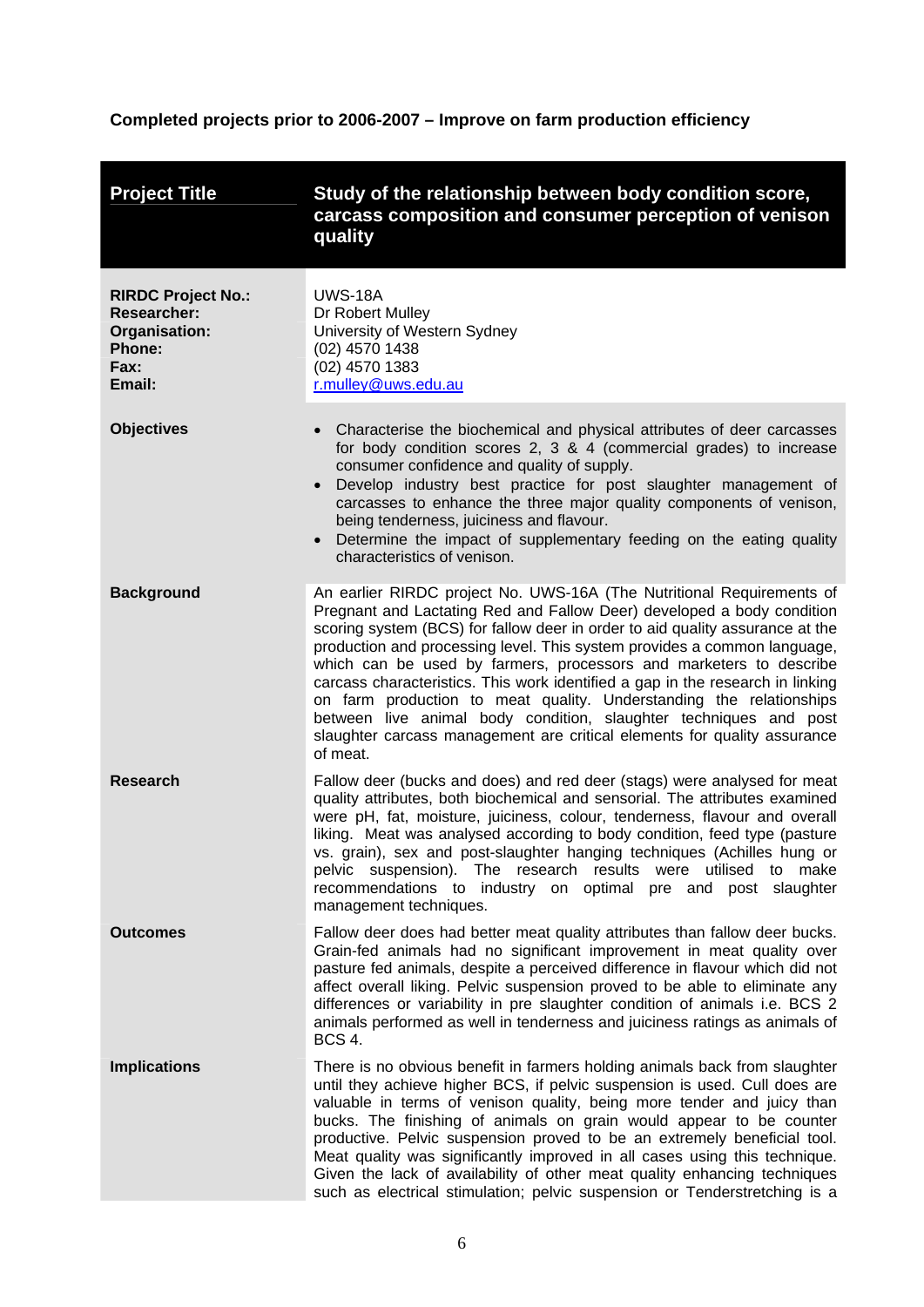## <span id="page-10-0"></span>**Completed projects prior to 2006-2007 – Improve on farm production efficiency**

| <b>Project Title</b>                                                                                | Study of the relationship between body condition score,<br>carcass composition and consumer perception of venison<br>quality                                                                                                                                                                                                                                                                                                                                                                                                                                                                                                                                                                             |
|-----------------------------------------------------------------------------------------------------|----------------------------------------------------------------------------------------------------------------------------------------------------------------------------------------------------------------------------------------------------------------------------------------------------------------------------------------------------------------------------------------------------------------------------------------------------------------------------------------------------------------------------------------------------------------------------------------------------------------------------------------------------------------------------------------------------------|
| <b>RIRDC Project No.:</b><br><b>Researcher:</b><br>Organisation:<br><b>Phone:</b><br>Fax:<br>Email: | <b>UWS-18A</b><br>Dr Robert Mulley<br>University of Western Sydney<br>(02) 4570 1438<br>(02) 4570 1383<br>r.mulley@uws.edu.au                                                                                                                                                                                                                                                                                                                                                                                                                                                                                                                                                                            |
| <b>Objectives</b>                                                                                   | Characterise the biochemical and physical attributes of deer carcasses<br>for body condition scores 2, 3 & 4 (commercial grades) to increase<br>consumer confidence and quality of supply.<br>Develop industry best practice for post slaughter management of<br>$\bullet$<br>carcasses to enhance the three major quality components of venison,<br>being tenderness, juiciness and flavour.<br>Determine the impact of supplementary feeding on the eating quality<br>characteristics of venison.                                                                                                                                                                                                      |
| <b>Background</b>                                                                                   | An earlier RIRDC project No. UWS-16A (The Nutritional Requirements of<br>Pregnant and Lactating Red and Fallow Deer) developed a body condition<br>scoring system (BCS) for fallow deer in order to aid quality assurance at the<br>production and processing level. This system provides a common language,<br>which can be used by farmers, processors and marketers to describe<br>carcass characteristics. This work identified a gap in the research in linking<br>on farm production to meat quality. Understanding the relationships<br>between live animal body condition, slaughter techniques and post<br>slaughter carcass management are critical elements for quality assurance<br>of meat. |
| <b>Research</b>                                                                                     | Fallow deer (bucks and does) and red deer (stags) were analysed for meat<br>quality attributes, both biochemical and sensorial. The attributes examined<br>were pH, fat, moisture, juiciness, colour, tenderness, flavour and overall<br>liking. Meat was analysed according to body condition, feed type (pasture<br>vs. grain), sex and post-slaughter hanging techniques (Achilles hung or<br>pelvic suspension). The research results were utilised to make<br>recommendations to industry on optimal pre and post slaughter<br>management techniques.                                                                                                                                               |
| <b>Outcomes</b>                                                                                     | Fallow deer does had better meat quality attributes than fallow deer bucks.<br>Grain-fed animals had no significant improvement in meat quality over<br>pasture fed animals, despite a perceived difference in flavour which did not<br>affect overall liking. Pelvic suspension proved to be able to eliminate any<br>differences or variability in pre slaughter condition of animals i.e. BCS 2<br>animals performed as well in tenderness and juiciness ratings as animals of<br><b>BCS 4.</b>                                                                                                                                                                                                       |
| <b>Implications</b>                                                                                 | There is no obvious benefit in farmers holding animals back from slaughter<br>until they achieve higher BCS, if pelvic suspension is used. Cull does are<br>valuable in terms of venison quality, being more tender and juicy than<br>bucks. The finishing of animals on grain would appear to be counter<br>productive. Pelvic suspension proved to be an extremely beneficial tool.<br>Meat quality was significantly improved in all cases using this technique.<br>Given the lack of availability of other meat quality enhancing techniques<br>such as electrical stimulation; pelvic suspension or Tenderstretching is a                                                                           |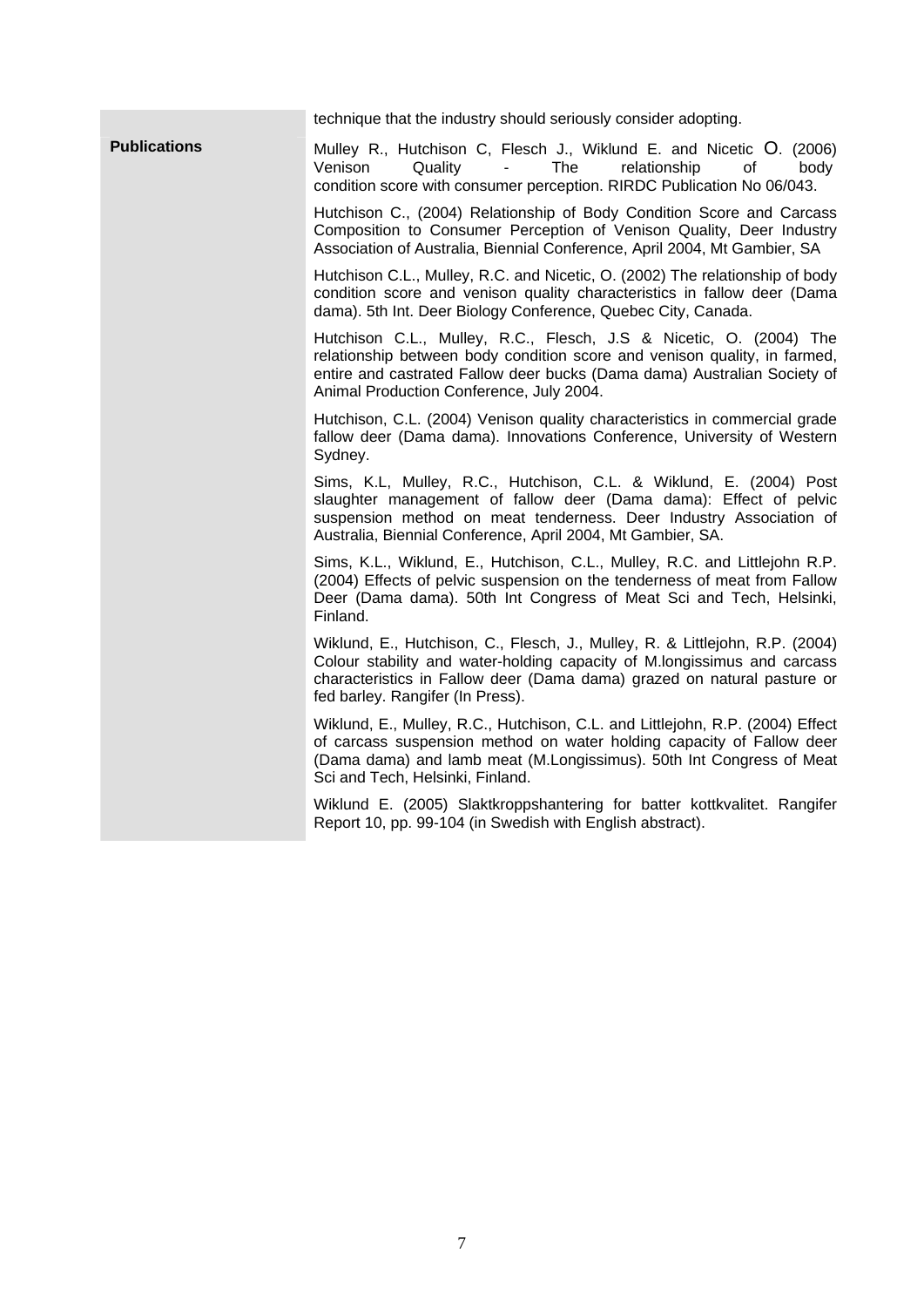technique that the industry should seriously consider adopting. Publications Mulley R., Hutchison C, Flesch J., Wiklund E. and Nicetic O. (2006) Venison Quality - The relationship of body condition score with consumer perception. RIRDC Publication No 06/043. Hutchison C., (2004) Relationship of Body Condition Score and Carcass Composition to Consumer Perception of Venison Quality, Deer Industry Association of Australia, Biennial Conference, April 2004, Mt Gambier, SA Hutchison C.L., Mulley, R.C. and Nicetic, O. (2002) The relationship of body condition score and venison quality characteristics in fallow deer (Dama dama). 5th Int. Deer Biology Conference, Quebec City, Canada. Hutchison C.L., Mulley, R.C., Flesch, J.S & Nicetic, O. (2004) The relationship between body condition score and venison quality, in farmed, entire and castrated Fallow deer bucks (Dama dama) Australian Society of Animal Production Conference, July 2004. Hutchison, C.L. (2004) Venison quality characteristics in commercial grade fallow deer (Dama dama). Innovations Conference, University of Western Sydney. Sims, K.L, Mulley, R.C., Hutchison, C.L. & Wiklund, E. (2004) Post slaughter management of fallow deer (Dama dama): Effect of pelvic suspension method on meat tenderness. Deer Industry Association of Australia, Biennial Conference, April 2004, Mt Gambier, SA. Sims, K.L., Wiklund, E., Hutchison, C.L., Mulley, R.C. and Littlejohn R.P. (2004) Effects of pelvic suspension on the tenderness of meat from Fallow Deer (Dama dama). 50th Int Congress of Meat Sci and Tech, Helsinki, Finland. Wiklund, E., Hutchison, C., Flesch, J., Mulley, R. & Littlejohn, R.P. (2004) Colour stability and water-holding capacity of M.longissimus and carcass characteristics in Fallow deer (Dama dama) grazed on natural pasture or fed barley. Rangifer (In Press). Wiklund, E., Mulley, R.C., Hutchison, C.L. and Littlejohn, R.P. (2004) Effect of carcass suspension method on water holding capacity of Fallow deer (Dama dama) and lamb meat (M.Longissimus). 50th Int Congress of Meat Sci and Tech, Helsinki, Finland. Wiklund E. (2005) Slaktkroppshantering for batter kottkvalitet. Rangifer Report 10, pp. 99-104 (in Swedish with English abstract).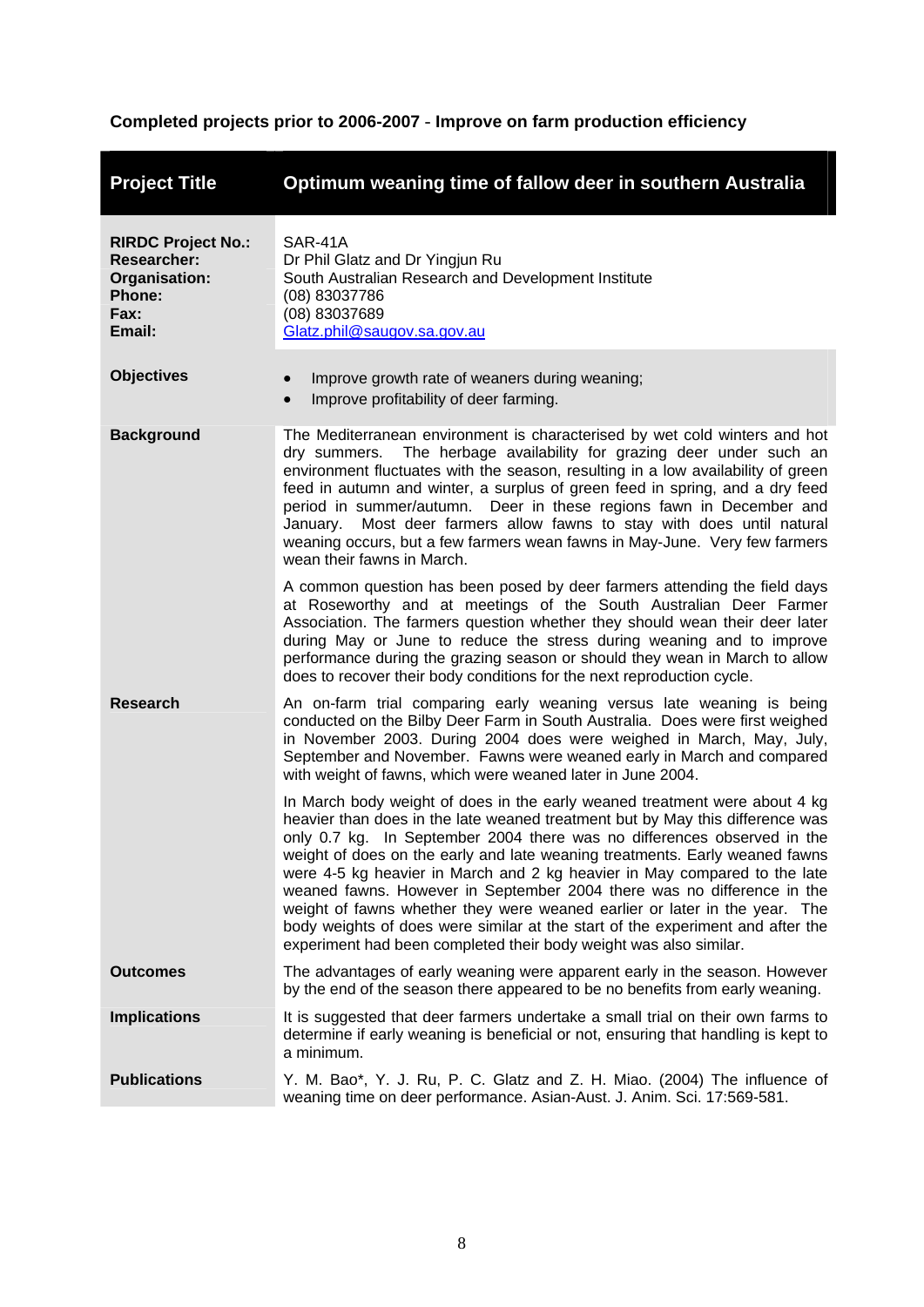## <span id="page-12-0"></span>**Completed projects prior to 2006-2007** - **Improve on farm production efficiency**

| <b>Project Title</b>                                                                         | Optimum weaning time of fallow deer in southern Australia                                                                                                                                                                                                                                                                                                                                                                                                                                                                                                                                                                                                                                                         |
|----------------------------------------------------------------------------------------------|-------------------------------------------------------------------------------------------------------------------------------------------------------------------------------------------------------------------------------------------------------------------------------------------------------------------------------------------------------------------------------------------------------------------------------------------------------------------------------------------------------------------------------------------------------------------------------------------------------------------------------------------------------------------------------------------------------------------|
| <b>RIRDC Project No.:</b><br><b>Researcher:</b><br>Organisation:<br>Phone:<br>Fax:<br>Email: | SAR-41A<br>Dr Phil Glatz and Dr Yingjun Ru<br>South Australian Research and Development Institute<br>(08) 83037786<br>(08) 83037689<br>Glatz.phil@saugov.sa.gov.au                                                                                                                                                                                                                                                                                                                                                                                                                                                                                                                                                |
| <b>Objectives</b>                                                                            | Improve growth rate of weaners during weaning;<br>Improve profitability of deer farming.                                                                                                                                                                                                                                                                                                                                                                                                                                                                                                                                                                                                                          |
| <b>Background</b>                                                                            | The Mediterranean environment is characterised by wet cold winters and hot<br>The herbage availability for grazing deer under such an<br>dry summers.<br>environment fluctuates with the season, resulting in a low availability of green<br>feed in autumn and winter, a surplus of green feed in spring, and a dry feed<br>period in summer/autumn. Deer in these regions fawn in December and<br>Most deer farmers allow fawns to stay with does until natural<br>January.<br>weaning occurs, but a few farmers wean fawns in May-June. Very few farmers<br>wean their fawns in March.                                                                                                                         |
|                                                                                              | A common question has been posed by deer farmers attending the field days<br>at Roseworthy and at meetings of the South Australian Deer Farmer<br>Association. The farmers question whether they should wean their deer later<br>during May or June to reduce the stress during weaning and to improve<br>performance during the grazing season or should they wean in March to allow<br>does to recover their body conditions for the next reproduction cycle.                                                                                                                                                                                                                                                   |
| <b>Research</b>                                                                              | An on-farm trial comparing early weaning versus late weaning is being<br>conducted on the Bilby Deer Farm in South Australia. Does were first weighed<br>in November 2003. During 2004 does were weighed in March, May, July,<br>September and November. Fawns were weaned early in March and compared<br>with weight of fawns, which were weaned later in June 2004.                                                                                                                                                                                                                                                                                                                                             |
|                                                                                              | In March body weight of does in the early weaned treatment were about 4 kg<br>heavier than does in the late weaned treatment but by May this difference was<br>only 0.7 kg. In September 2004 there was no differences observed in the<br>weight of does on the early and late weaning treatments. Early weaned fawns<br>were 4-5 kg heavier in March and 2 kg heavier in May compared to the late<br>weaned fawns. However in September 2004 there was no difference in the<br>weight of fawns whether they were weaned earlier or later in the year. The<br>body weights of does were similar at the start of the experiment and after the<br>experiment had been completed their body weight was also similar. |
| <b>Outcomes</b>                                                                              | The advantages of early weaning were apparent early in the season. However<br>by the end of the season there appeared to be no benefits from early weaning.                                                                                                                                                                                                                                                                                                                                                                                                                                                                                                                                                       |
| <b>Implications</b>                                                                          | It is suggested that deer farmers undertake a small trial on their own farms to<br>determine if early weaning is beneficial or not, ensuring that handling is kept to<br>a minimum.                                                                                                                                                                                                                                                                                                                                                                                                                                                                                                                               |
| <b>Publications</b>                                                                          | Y. M. Bao*, Y. J. Ru, P. C. Glatz and Z. H. Miao. (2004) The influence of<br>weaning time on deer performance. Asian-Aust. J. Anim. Sci. 17:569-581.                                                                                                                                                                                                                                                                                                                                                                                                                                                                                                                                                              |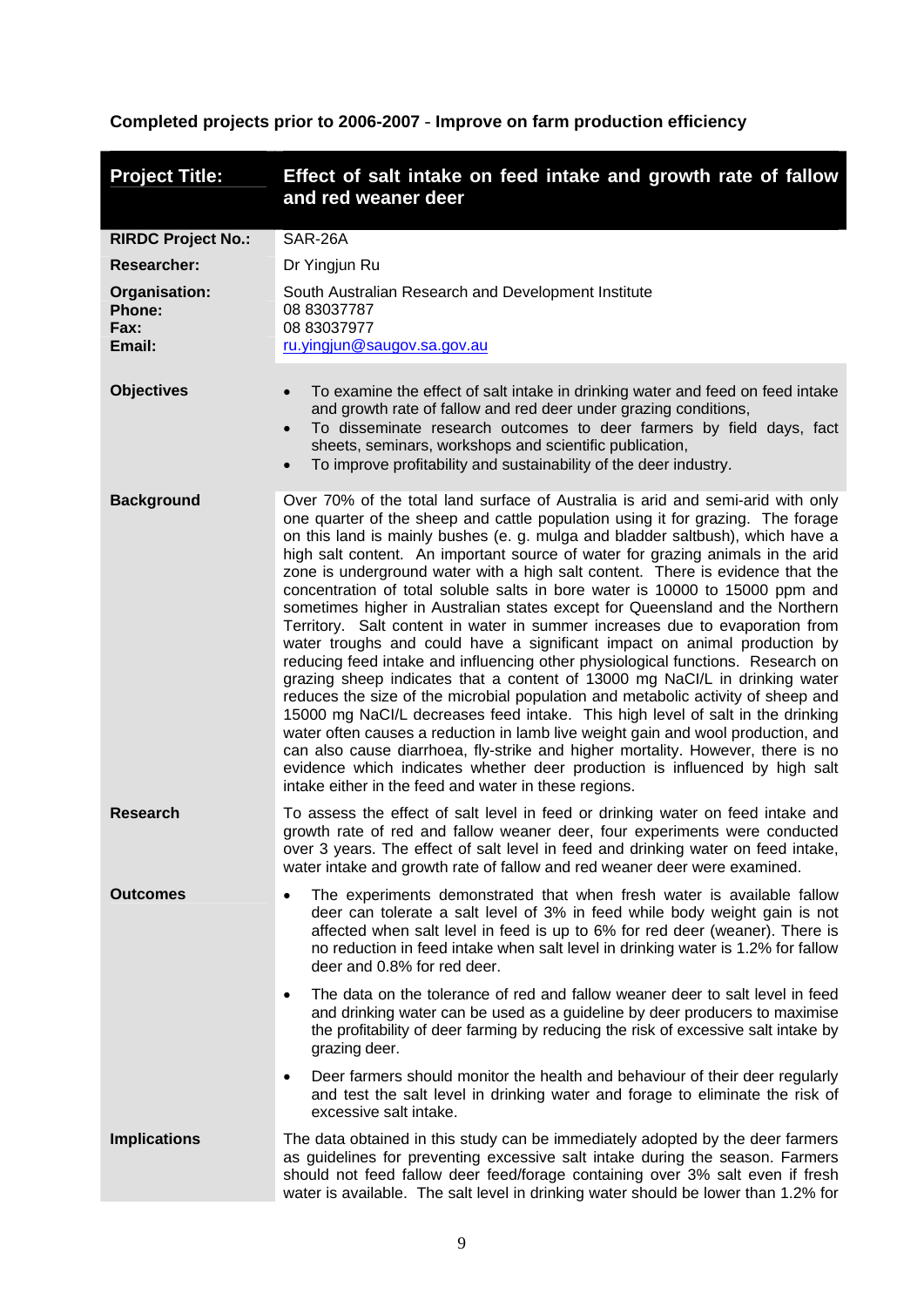### <span id="page-13-0"></span>**Completed projects prior to 2006-2007** - **Improve on farm production efficiency**

| <b>Project Title:</b>                            | Effect of salt intake on feed intake and growth rate of fallow<br>and red weaner deer                                                                                                                                                                                                                                                                                                                                                                                                                                                                                                                                                                                                                                                                                                                                                                                                                                                                                                                                                                                                                                                                                                                                                                                                                                                                                                                         |  |  |
|--------------------------------------------------|---------------------------------------------------------------------------------------------------------------------------------------------------------------------------------------------------------------------------------------------------------------------------------------------------------------------------------------------------------------------------------------------------------------------------------------------------------------------------------------------------------------------------------------------------------------------------------------------------------------------------------------------------------------------------------------------------------------------------------------------------------------------------------------------------------------------------------------------------------------------------------------------------------------------------------------------------------------------------------------------------------------------------------------------------------------------------------------------------------------------------------------------------------------------------------------------------------------------------------------------------------------------------------------------------------------------------------------------------------------------------------------------------------------|--|--|
| <b>RIRDC Project No.:</b>                        | SAR-26A                                                                                                                                                                                                                                                                                                                                                                                                                                                                                                                                                                                                                                                                                                                                                                                                                                                                                                                                                                                                                                                                                                                                                                                                                                                                                                                                                                                                       |  |  |
| <b>Researcher:</b>                               | Dr Yingjun Ru                                                                                                                                                                                                                                                                                                                                                                                                                                                                                                                                                                                                                                                                                                                                                                                                                                                                                                                                                                                                                                                                                                                                                                                                                                                                                                                                                                                                 |  |  |
| Organisation:<br>Phone:<br><b>Fax:</b><br>Email: | South Australian Research and Development Institute<br>08 83037787<br>08 83037977<br>ru.yingjun@saugov.sa.gov.au                                                                                                                                                                                                                                                                                                                                                                                                                                                                                                                                                                                                                                                                                                                                                                                                                                                                                                                                                                                                                                                                                                                                                                                                                                                                                              |  |  |
| <b>Objectives</b>                                | To examine the effect of salt intake in drinking water and feed on feed intake<br>and growth rate of fallow and red deer under grazing conditions,<br>To disseminate research outcomes to deer farmers by field days, fact<br>$\bullet$<br>sheets, seminars, workshops and scientific publication,<br>To improve profitability and sustainability of the deer industry.<br>$\bullet$                                                                                                                                                                                                                                                                                                                                                                                                                                                                                                                                                                                                                                                                                                                                                                                                                                                                                                                                                                                                                          |  |  |
| <b>Background</b>                                | Over 70% of the total land surface of Australia is arid and semi-arid with only<br>one quarter of the sheep and cattle population using it for grazing. The forage<br>on this land is mainly bushes (e. g. mulga and bladder saltbush), which have a<br>high salt content. An important source of water for grazing animals in the arid<br>zone is underground water with a high salt content. There is evidence that the<br>concentration of total soluble salts in bore water is 10000 to 15000 ppm and<br>sometimes higher in Australian states except for Queensland and the Northern<br>Territory. Salt content in water in summer increases due to evaporation from<br>water troughs and could have a significant impact on animal production by<br>reducing feed intake and influencing other physiological functions. Research on<br>grazing sheep indicates that a content of 13000 mg NaCl/L in drinking water<br>reduces the size of the microbial population and metabolic activity of sheep and<br>15000 mg NaCl/L decreases feed intake. This high level of salt in the drinking<br>water often causes a reduction in lamb live weight gain and wool production, and<br>can also cause diarrhoea, fly-strike and higher mortality. However, there is no<br>evidence which indicates whether deer production is influenced by high salt<br>intake either in the feed and water in these regions. |  |  |
| <b>Research</b>                                  | To assess the effect of salt level in feed or drinking water on feed intake and<br>growth rate of red and fallow weaner deer, four experiments were conducted<br>over 3 years. The effect of salt level in feed and drinking water on feed intake,<br>water intake and growth rate of fallow and red weaner deer were examined.                                                                                                                                                                                                                                                                                                                                                                                                                                                                                                                                                                                                                                                                                                                                                                                                                                                                                                                                                                                                                                                                               |  |  |
| Outcomes                                         | The experiments demonstrated that when fresh water is available fallow<br>$\bullet$<br>deer can tolerate a salt level of 3% in feed while body weight gain is not<br>affected when salt level in feed is up to 6% for red deer (weaner). There is<br>no reduction in feed intake when salt level in drinking water is 1.2% for fallow<br>deer and 0.8% for red deer.                                                                                                                                                                                                                                                                                                                                                                                                                                                                                                                                                                                                                                                                                                                                                                                                                                                                                                                                                                                                                                          |  |  |
|                                                  | The data on the tolerance of red and fallow weaner deer to salt level in feed<br>$\bullet$<br>and drinking water can be used as a guideline by deer producers to maximise<br>the profitability of deer farming by reducing the risk of excessive salt intake by<br>grazing deer.                                                                                                                                                                                                                                                                                                                                                                                                                                                                                                                                                                                                                                                                                                                                                                                                                                                                                                                                                                                                                                                                                                                              |  |  |
|                                                  | Deer farmers should monitor the health and behaviour of their deer regularly<br>$\bullet$<br>and test the salt level in drinking water and forage to eliminate the risk of<br>excessive salt intake.                                                                                                                                                                                                                                                                                                                                                                                                                                                                                                                                                                                                                                                                                                                                                                                                                                                                                                                                                                                                                                                                                                                                                                                                          |  |  |
| <b>Implications</b>                              | The data obtained in this study can be immediately adopted by the deer farmers<br>as guidelines for preventing excessive salt intake during the season. Farmers<br>should not feed fallow deer feed/forage containing over 3% salt even if fresh<br>water is available. The salt level in drinking water should be lower than 1.2% for                                                                                                                                                                                                                                                                                                                                                                                                                                                                                                                                                                                                                                                                                                                                                                                                                                                                                                                                                                                                                                                                        |  |  |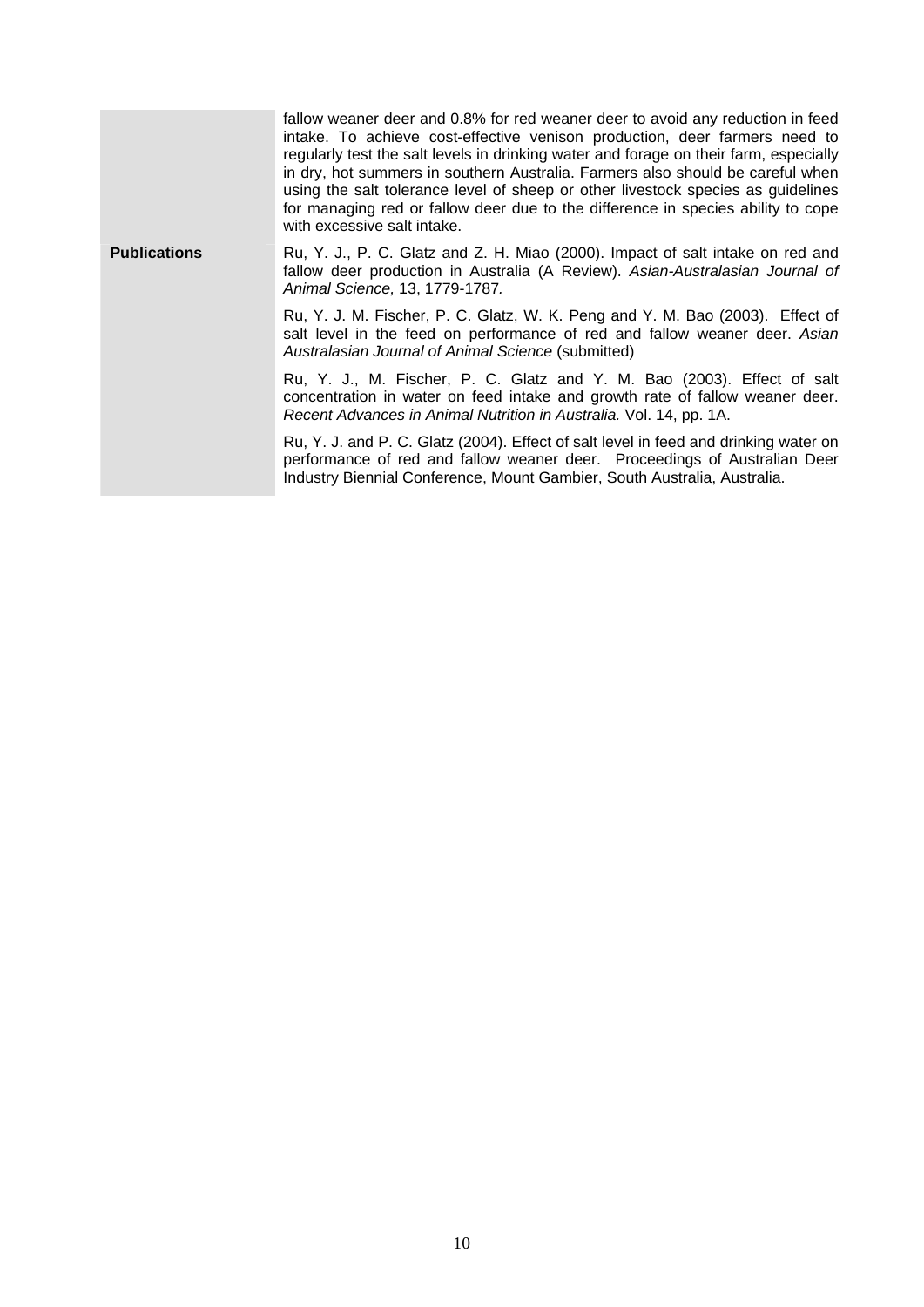|                     | fallow weaner deer and 0.8% for red weaner deer to avoid any reduction in feed<br>intake. To achieve cost-effective venison production, deer farmers need to<br>regularly test the salt levels in drinking water and forage on their farm, especially<br>in dry, hot summers in southern Australia. Farmers also should be careful when<br>using the salt tolerance level of sheep or other livestock species as guidelines<br>for managing red or fallow deer due to the difference in species ability to cope<br>with excessive salt intake. |  |
|---------------------|------------------------------------------------------------------------------------------------------------------------------------------------------------------------------------------------------------------------------------------------------------------------------------------------------------------------------------------------------------------------------------------------------------------------------------------------------------------------------------------------------------------------------------------------|--|
| <b>Publications</b> | Ru, Y. J., P. C. Glatz and Z. H. Miao (2000). Impact of salt intake on red and<br>fallow deer production in Australia (A Review). Asian-Australasian Journal of<br>Animal Science, 13, 1779-1787.                                                                                                                                                                                                                                                                                                                                              |  |
|                     | Ru, Y. J. M. Fischer, P. C. Glatz, W. K. Peng and Y. M. Bao (2003). Effect of<br>salt level in the feed on performance of red and fallow weaner deer. Asian<br>Australasian Journal of Animal Science (submitted)                                                                                                                                                                                                                                                                                                                              |  |
|                     | Ru, Y. J., M. Fischer, P. C. Glatz and Y. M. Bao (2003). Effect of salt<br>concentration in water on feed intake and growth rate of fallow weaner deer.<br>Recent Advances in Animal Nutrition in Australia. Vol. 14, pp. 1A.                                                                                                                                                                                                                                                                                                                  |  |
|                     | Ru, Y. J. and P. C. Glatz (2004). Effect of salt level in feed and drinking water on<br>performance of red and fallow weaner deer. Proceedings of Australian Deer<br>Industry Biennial Conference, Mount Gambier, South Australia, Australia.                                                                                                                                                                                                                                                                                                  |  |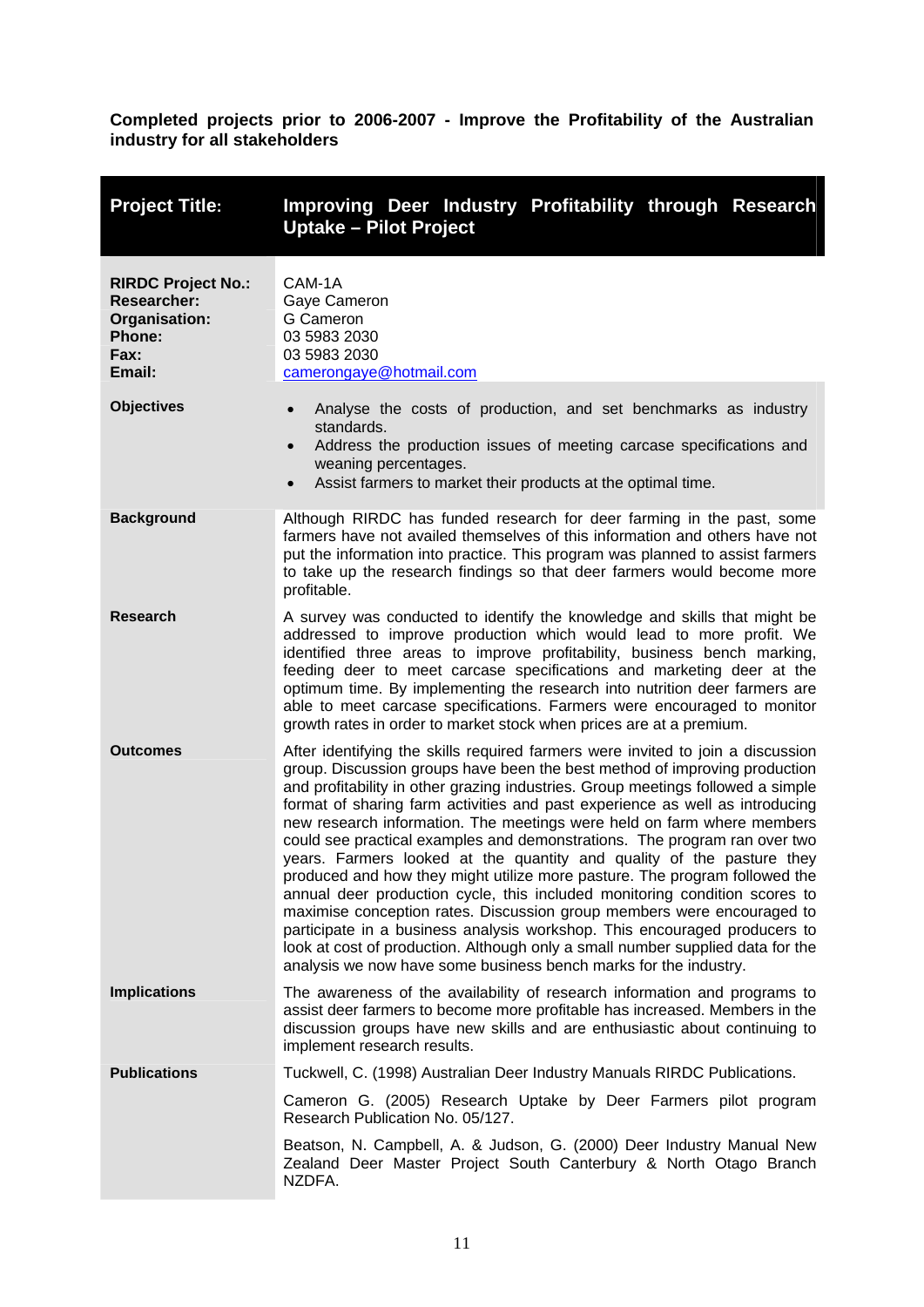<span id="page-15-0"></span>

| <b>Project Title:</b>                                                                               | Improving Deer Industry Profitability through Research<br><b>Uptake - Pilot Project</b>                                                                                                                                                                                                                                                                                                                                                                                                                                                                                                                                                                                                                                                                                                                                                                                                                                                                                                                                                   |  |  |
|-----------------------------------------------------------------------------------------------------|-------------------------------------------------------------------------------------------------------------------------------------------------------------------------------------------------------------------------------------------------------------------------------------------------------------------------------------------------------------------------------------------------------------------------------------------------------------------------------------------------------------------------------------------------------------------------------------------------------------------------------------------------------------------------------------------------------------------------------------------------------------------------------------------------------------------------------------------------------------------------------------------------------------------------------------------------------------------------------------------------------------------------------------------|--|--|
| <b>RIRDC Project No.:</b><br><b>Researcher:</b><br>Organisation:<br><b>Phone:</b><br>Fax:<br>Email: | CAM-1A<br>Gaye Cameron<br>G Cameron<br>03 5983 2030<br>03 5983 2030<br>camerongaye@hotmail.com                                                                                                                                                                                                                                                                                                                                                                                                                                                                                                                                                                                                                                                                                                                                                                                                                                                                                                                                            |  |  |
| <b>Objectives</b>                                                                                   | Analyse the costs of production, and set benchmarks as industry<br>$\bullet$<br>standards.<br>Address the production issues of meeting carcase specifications and<br>$\bullet$<br>weaning percentages.<br>Assist farmers to market their products at the optimal time.<br>$\bullet$                                                                                                                                                                                                                                                                                                                                                                                                                                                                                                                                                                                                                                                                                                                                                       |  |  |
| <b>Background</b>                                                                                   | Although RIRDC has funded research for deer farming in the past, some<br>farmers have not availed themselves of this information and others have not<br>put the information into practice. This program was planned to assist farmers<br>to take up the research findings so that deer farmers would become more<br>profitable.                                                                                                                                                                                                                                                                                                                                                                                                                                                                                                                                                                                                                                                                                                           |  |  |
| <b>Research</b>                                                                                     | A survey was conducted to identify the knowledge and skills that might be<br>addressed to improve production which would lead to more profit. We<br>identified three areas to improve profitability, business bench marking,<br>feeding deer to meet carcase specifications and marketing deer at the<br>optimum time. By implementing the research into nutrition deer farmers are<br>able to meet carcase specifications. Farmers were encouraged to monitor<br>growth rates in order to market stock when prices are at a premium.                                                                                                                                                                                                                                                                                                                                                                                                                                                                                                     |  |  |
| <b>Outcomes</b>                                                                                     | After identifying the skills required farmers were invited to join a discussion<br>group. Discussion groups have been the best method of improving production<br>and profitability in other grazing industries. Group meetings followed a simple<br>format of sharing farm activities and past experience as well as introducing<br>new research information. The meetings were held on farm where members<br>could see practical examples and demonstrations. The program ran over two<br>years. Farmers looked at the quantity and quality of the pasture they<br>produced and how they might utilize more pasture. The program followed the<br>annual deer production cycle, this included monitoring condition scores to<br>maximise conception rates. Discussion group members were encouraged to<br>participate in a business analysis workshop. This encouraged producers to<br>look at cost of production. Although only a small number supplied data for the<br>analysis we now have some business bench marks for the industry. |  |  |
| <b>Implications</b>                                                                                 | The awareness of the availability of research information and programs to<br>assist deer farmers to become more profitable has increased. Members in the<br>discussion groups have new skills and are enthusiastic about continuing to<br>implement research results.                                                                                                                                                                                                                                                                                                                                                                                                                                                                                                                                                                                                                                                                                                                                                                     |  |  |
| <b>Publications</b>                                                                                 | Tuckwell, C. (1998) Australian Deer Industry Manuals RIRDC Publications.                                                                                                                                                                                                                                                                                                                                                                                                                                                                                                                                                                                                                                                                                                                                                                                                                                                                                                                                                                  |  |  |
|                                                                                                     | Cameron G. (2005) Research Uptake by Deer Farmers pilot program<br>Research Publication No. 05/127.                                                                                                                                                                                                                                                                                                                                                                                                                                                                                                                                                                                                                                                                                                                                                                                                                                                                                                                                       |  |  |
|                                                                                                     | Beatson, N. Campbell, A. & Judson, G. (2000) Deer Industry Manual New<br>Zealand Deer Master Project South Canterbury & North Otago Branch<br>NZDFA.                                                                                                                                                                                                                                                                                                                                                                                                                                                                                                                                                                                                                                                                                                                                                                                                                                                                                      |  |  |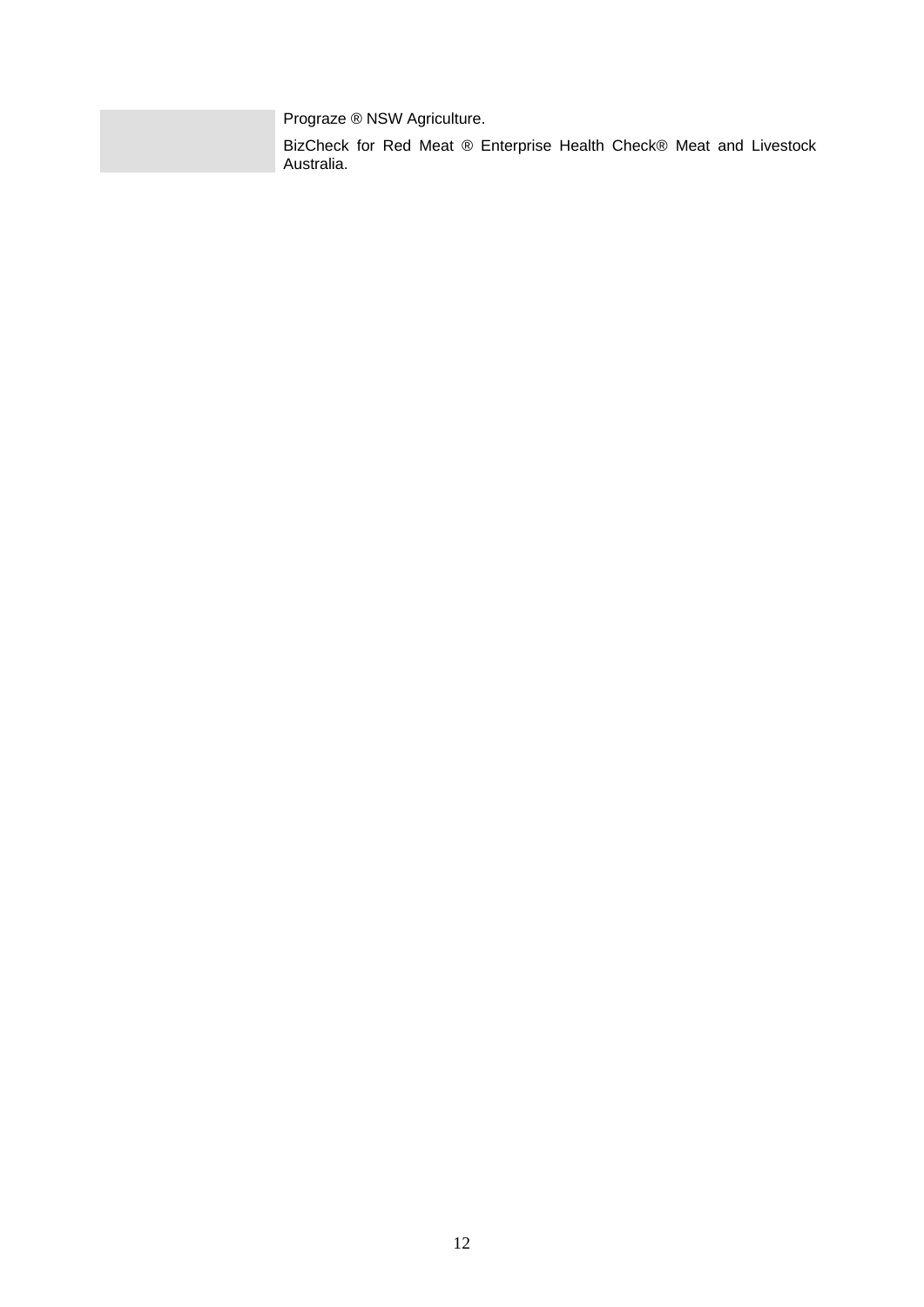Prograze ® NSW Agriculture.

BizCheck for Red Meat ® Enterprise Health Check® Meat and Livestock Australia.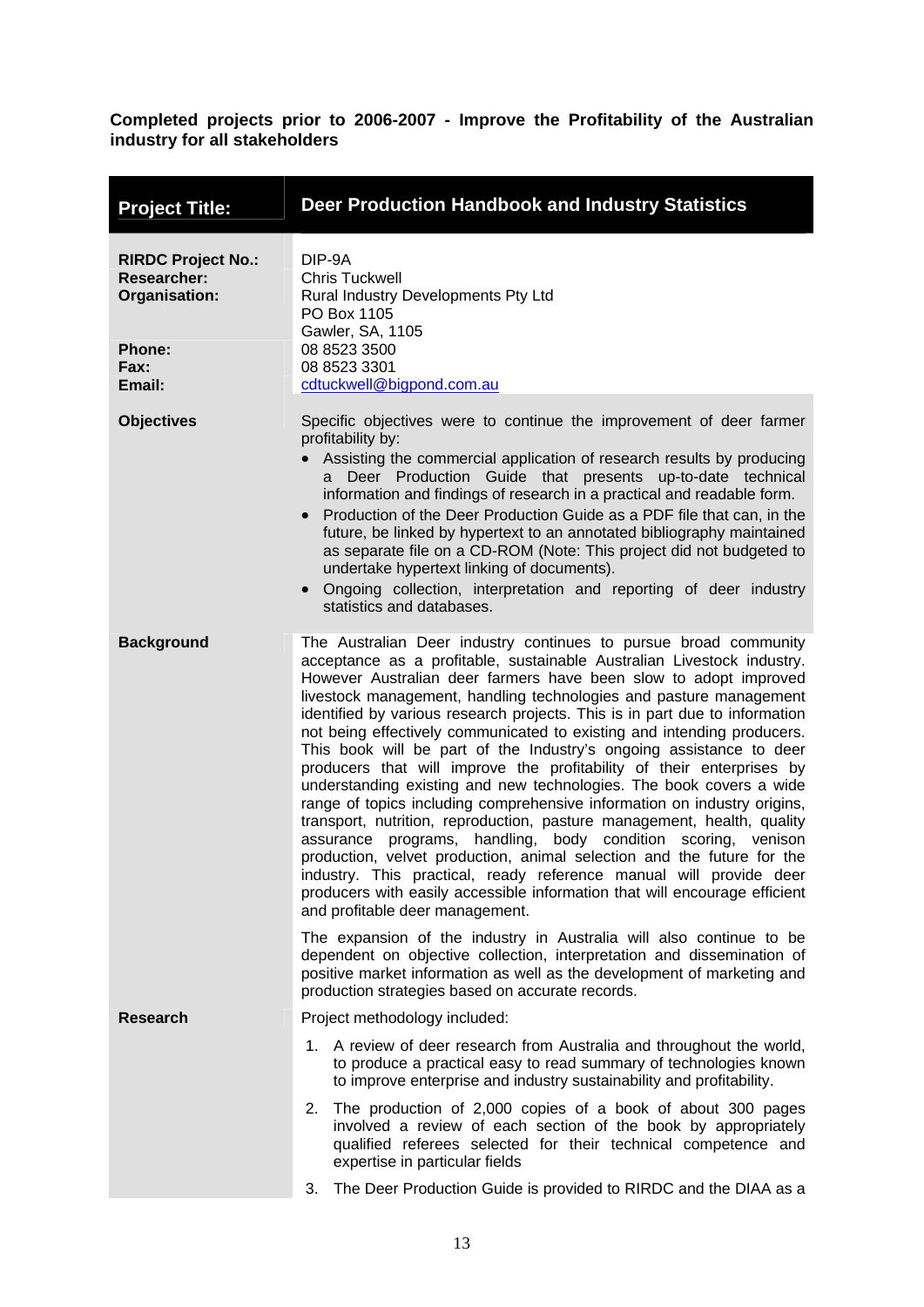<span id="page-17-0"></span>

| <b>Project Title:</b>                                                                                      | Deer Production Handbook and Industry Statistics                                                                                                                                                                                                                                                                                                                                                                                                                                                                                                                                                                                                                                                                                                                                                                                                                                                                                                                                                                                                                                                                                                               |  |  |
|------------------------------------------------------------------------------------------------------------|----------------------------------------------------------------------------------------------------------------------------------------------------------------------------------------------------------------------------------------------------------------------------------------------------------------------------------------------------------------------------------------------------------------------------------------------------------------------------------------------------------------------------------------------------------------------------------------------------------------------------------------------------------------------------------------------------------------------------------------------------------------------------------------------------------------------------------------------------------------------------------------------------------------------------------------------------------------------------------------------------------------------------------------------------------------------------------------------------------------------------------------------------------------|--|--|
| <b>RIRDC Project No.:</b><br><b>Researcher:</b><br>Organisation:<br><b>Phone:</b><br><b>Fax:</b><br>Email: | DIP-9A<br><b>Chris Tuckwell</b><br>Rural Industry Developments Pty Ltd<br>PO Box 1105<br>Gawler, SA, 1105<br>08 8523 3500<br>08 8523 3301<br>cdtuckwell@bigpond.com.au                                                                                                                                                                                                                                                                                                                                                                                                                                                                                                                                                                                                                                                                                                                                                                                                                                                                                                                                                                                         |  |  |
| <b>Objectives</b>                                                                                          | Specific objectives were to continue the improvement of deer farmer<br>profitability by:<br>Assisting the commercial application of research results by producing<br>Deer Production Guide that presents up-to-date technical<br>a<br>information and findings of research in a practical and readable form.<br>Production of the Deer Production Guide as a PDF file that can, in the<br>$\bullet$<br>future, be linked by hypertext to an annotated bibliography maintained<br>as separate file on a CD-ROM (Note: This project did not budgeted to<br>undertake hypertext linking of documents).<br>Ongoing collection, interpretation and reporting of deer industry<br>$\bullet$<br>statistics and databases.                                                                                                                                                                                                                                                                                                                                                                                                                                             |  |  |
| <b>Background</b>                                                                                          | The Australian Deer industry continues to pursue broad community<br>acceptance as a profitable, sustainable Australian Livestock industry.<br>However Australian deer farmers have been slow to adopt improved<br>livestock management, handling technologies and pasture management<br>identified by various research projects. This is in part due to information<br>not being effectively communicated to existing and intending producers.<br>This book will be part of the Industry's ongoing assistance to deer<br>producers that will improve the profitability of their enterprises by<br>understanding existing and new technologies. The book covers a wide<br>range of topics including comprehensive information on industry origins,<br>transport, nutrition, reproduction, pasture management, health, quality<br>assurance programs, handling, body condition scoring, venison<br>production, velvet production, animal selection and the future for the<br>industry. This practical, ready reference manual will provide deer<br>producers with easily accessible information that will encourage efficient<br>and profitable deer management. |  |  |
|                                                                                                            | The expansion of the industry in Australia will also continue to be<br>dependent on objective collection, interpretation and dissemination of<br>positive market information as well as the development of marketing and<br>production strategies based on accurate records.                                                                                                                                                                                                                                                                                                                                                                                                                                                                                                                                                                                                                                                                                                                                                                                                                                                                                   |  |  |
| <b>Research</b>                                                                                            | Project methodology included:                                                                                                                                                                                                                                                                                                                                                                                                                                                                                                                                                                                                                                                                                                                                                                                                                                                                                                                                                                                                                                                                                                                                  |  |  |
|                                                                                                            | 1. A review of deer research from Australia and throughout the world,<br>to produce a practical easy to read summary of technologies known<br>to improve enterprise and industry sustainability and profitability.                                                                                                                                                                                                                                                                                                                                                                                                                                                                                                                                                                                                                                                                                                                                                                                                                                                                                                                                             |  |  |
|                                                                                                            | 2. The production of 2,000 copies of a book of about 300 pages<br>involved a review of each section of the book by appropriately<br>qualified referees selected for their technical competence and<br>expertise in particular fields                                                                                                                                                                                                                                                                                                                                                                                                                                                                                                                                                                                                                                                                                                                                                                                                                                                                                                                           |  |  |
|                                                                                                            | The Deer Production Guide is provided to RIRDC and the DIAA as a<br>3.                                                                                                                                                                                                                                                                                                                                                                                                                                                                                                                                                                                                                                                                                                                                                                                                                                                                                                                                                                                                                                                                                         |  |  |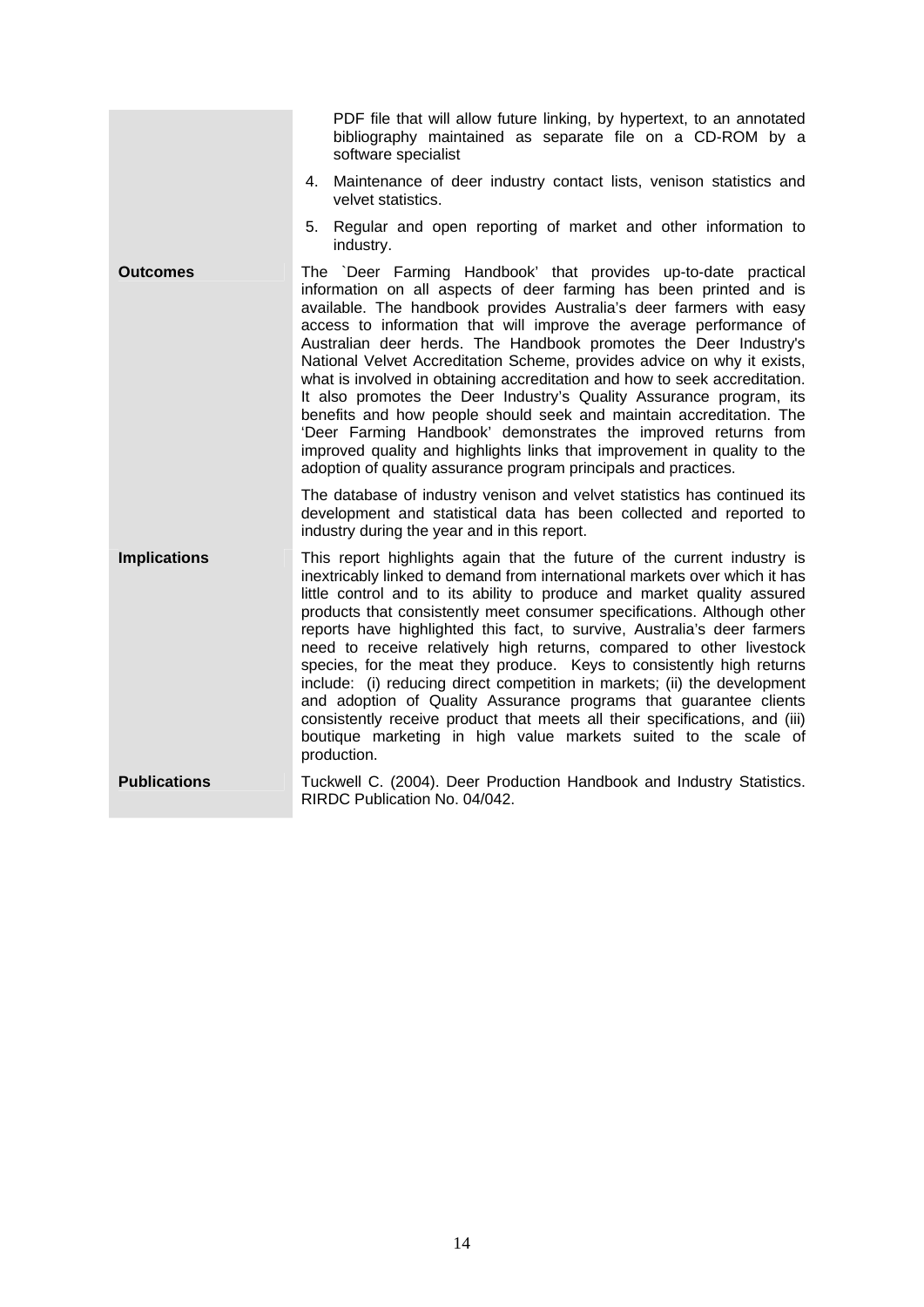|                     | PDF file that will allow future linking, by hypertext, to an annotated<br>bibliography maintained as separate file on a CD-ROM by a<br>software specialist<br>4. Maintenance of deer industry contact lists, venison statistics and<br>velvet statistics.                                                                                                                                                                                                                                                                                                                                                                                                                                                                                                                                                                                                                     |
|---------------------|-------------------------------------------------------------------------------------------------------------------------------------------------------------------------------------------------------------------------------------------------------------------------------------------------------------------------------------------------------------------------------------------------------------------------------------------------------------------------------------------------------------------------------------------------------------------------------------------------------------------------------------------------------------------------------------------------------------------------------------------------------------------------------------------------------------------------------------------------------------------------------|
|                     | Regular and open reporting of market and other information to<br>5.<br>industry.                                                                                                                                                                                                                                                                                                                                                                                                                                                                                                                                                                                                                                                                                                                                                                                              |
| <b>Outcomes</b>     | The `Deer Farming Handbook' that provides up-to-date practical<br>information on all aspects of deer farming has been printed and is<br>available. The handbook provides Australia's deer farmers with easy<br>access to information that will improve the average performance of<br>Australian deer herds. The Handbook promotes the Deer Industry's<br>National Velvet Accreditation Scheme, provides advice on why it exists,<br>what is involved in obtaining accreditation and how to seek accreditation.<br>It also promotes the Deer Industry's Quality Assurance program, its<br>benefits and how people should seek and maintain accreditation. The<br>'Deer Farming Handbook' demonstrates the improved returns from<br>improved quality and highlights links that improvement in quality to the<br>adoption of quality assurance program principals and practices. |
|                     | The database of industry venison and velvet statistics has continued its<br>development and statistical data has been collected and reported to<br>industry during the year and in this report.                                                                                                                                                                                                                                                                                                                                                                                                                                                                                                                                                                                                                                                                               |
| <b>Implications</b> | This report highlights again that the future of the current industry is<br>inextricably linked to demand from international markets over which it has<br>little control and to its ability to produce and market quality assured<br>products that consistently meet consumer specifications. Although other<br>reports have highlighted this fact, to survive, Australia's deer farmers<br>need to receive relatively high returns, compared to other livestock<br>species, for the meat they produce. Keys to consistently high returns<br>include: (i) reducing direct competition in markets; (ii) the development<br>and adoption of Quality Assurance programs that guarantee clients<br>consistently receive product that meets all their specifications, and (iii)<br>boutique marketing in high value markets suited to the scale of<br>production.                   |
| <b>Publications</b> | Tuckwell C. (2004). Deer Production Handbook and Industry Statistics.<br>RIRDC Publication No. 04/042.                                                                                                                                                                                                                                                                                                                                                                                                                                                                                                                                                                                                                                                                                                                                                                        |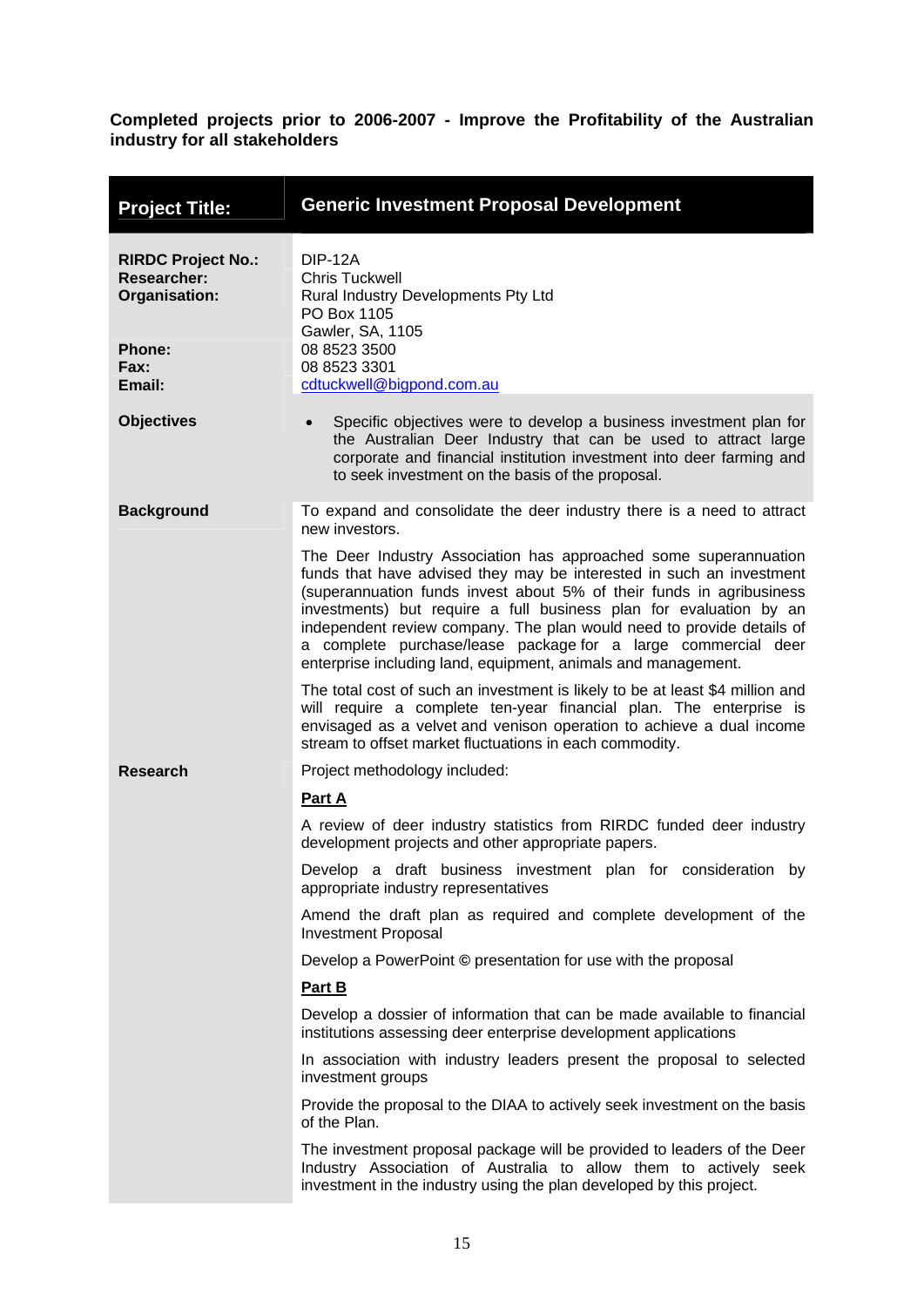<span id="page-19-0"></span>

| <b>Project Title:</b>                                                                               | <b>Generic Investment Proposal Development</b>                                                                                                                                                                                                                                                                                                                                                                                                                                                    |  |  |
|-----------------------------------------------------------------------------------------------------|---------------------------------------------------------------------------------------------------------------------------------------------------------------------------------------------------------------------------------------------------------------------------------------------------------------------------------------------------------------------------------------------------------------------------------------------------------------------------------------------------|--|--|
| <b>RIRDC Project No.:</b><br><b>Researcher:</b><br>Organisation:<br><b>Phone:</b><br>Fax:<br>Email: | <b>DIP-12A</b><br><b>Chris Tuckwell</b><br>Rural Industry Developments Pty Ltd<br>PO Box 1105<br>Gawler, SA, 1105<br>08 8523 3500<br>08 8523 3301<br>cdtuckwell@bigpond.com.au                                                                                                                                                                                                                                                                                                                    |  |  |
| <b>Objectives</b>                                                                                   | Specific objectives were to develop a business investment plan for<br>the Australian Deer Industry that can be used to attract large<br>corporate and financial institution investment into deer farming and<br>to seek investment on the basis of the proposal.                                                                                                                                                                                                                                  |  |  |
| <b>Background</b>                                                                                   | To expand and consolidate the deer industry there is a need to attract<br>new investors.                                                                                                                                                                                                                                                                                                                                                                                                          |  |  |
|                                                                                                     | The Deer Industry Association has approached some superannuation<br>funds that have advised they may be interested in such an investment<br>(superannuation funds invest about 5% of their funds in agribusiness<br>investments) but require a full business plan for evaluation by an<br>independent review company. The plan would need to provide details of<br>a complete purchase/lease package for a large commercial deer<br>enterprise including land, equipment, animals and management. |  |  |
|                                                                                                     | The total cost of such an investment is likely to be at least \$4 million and<br>will require a complete ten-year financial plan. The enterprise is<br>envisaged as a velvet and venison operation to achieve a dual income<br>stream to offset market fluctuations in each commodity.                                                                                                                                                                                                            |  |  |
| <b>Research</b>                                                                                     | Project methodology included:                                                                                                                                                                                                                                                                                                                                                                                                                                                                     |  |  |
|                                                                                                     | Part A                                                                                                                                                                                                                                                                                                                                                                                                                                                                                            |  |  |
|                                                                                                     | A review of deer industry statistics from RIRDC funded deer industry<br>development projects and other appropriate papers.                                                                                                                                                                                                                                                                                                                                                                        |  |  |
|                                                                                                     | Develop a draft business investment plan for consideration by<br>appropriate industry representatives                                                                                                                                                                                                                                                                                                                                                                                             |  |  |
|                                                                                                     | Amend the draft plan as required and complete development of the<br><b>Investment Proposal</b>                                                                                                                                                                                                                                                                                                                                                                                                    |  |  |
|                                                                                                     | Develop a PowerPoint © presentation for use with the proposal                                                                                                                                                                                                                                                                                                                                                                                                                                     |  |  |
|                                                                                                     | Part B                                                                                                                                                                                                                                                                                                                                                                                                                                                                                            |  |  |
|                                                                                                     | Develop a dossier of information that can be made available to financial<br>institutions assessing deer enterprise development applications                                                                                                                                                                                                                                                                                                                                                       |  |  |
|                                                                                                     | In association with industry leaders present the proposal to selected<br>investment groups                                                                                                                                                                                                                                                                                                                                                                                                        |  |  |
|                                                                                                     | Provide the proposal to the DIAA to actively seek investment on the basis<br>of the Plan.                                                                                                                                                                                                                                                                                                                                                                                                         |  |  |
|                                                                                                     | The investment proposal package will be provided to leaders of the Deer<br>Industry Association of Australia to allow them to actively seek<br>investment in the industry using the plan developed by this project.                                                                                                                                                                                                                                                                               |  |  |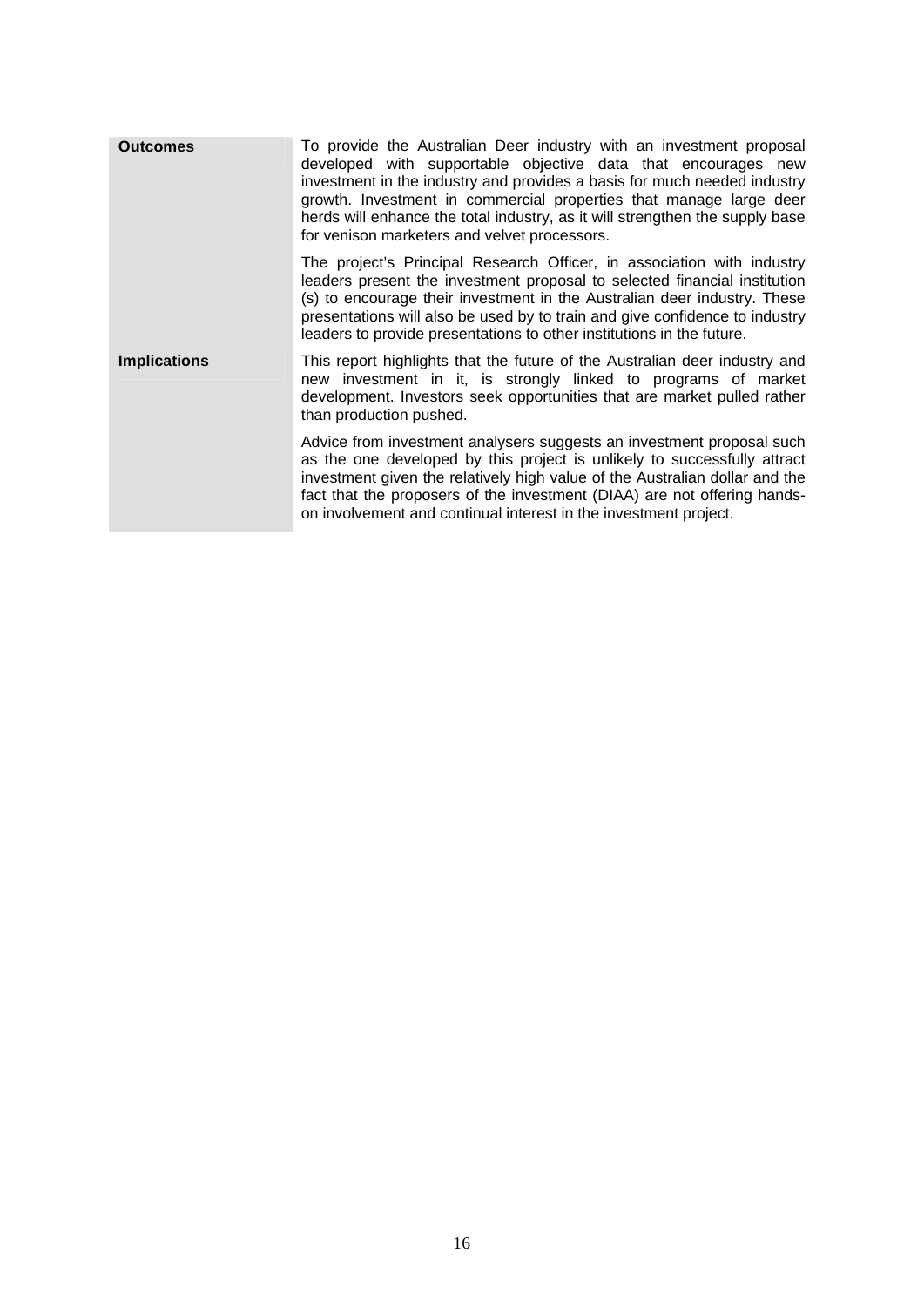| <b>Outcomes</b>     | To provide the Australian Deer industry with an investment proposal<br>developed with supportable objective data that encourages new<br>investment in the industry and provides a basis for much needed industry<br>growth. Investment in commercial properties that manage large deer<br>herds will enhance the total industry, as it will strengthen the supply base<br>for venison marketers and velvet processors. |  |
|---------------------|------------------------------------------------------------------------------------------------------------------------------------------------------------------------------------------------------------------------------------------------------------------------------------------------------------------------------------------------------------------------------------------------------------------------|--|
|                     | The project's Principal Research Officer, in association with industry<br>leaders present the investment proposal to selected financial institution<br>(s) to encourage their investment in the Australian deer industry. These<br>presentations will also be used by to train and give confidence to industry<br>leaders to provide presentations to other institutions in the future.                                |  |
| <b>Implications</b> | This report highlights that the future of the Australian deer industry and<br>new investment in it, is strongly linked to programs of market<br>development. Investors seek opportunities that are market pulled rather<br>than production pushed.                                                                                                                                                                     |  |
|                     | Advice from investment analysers suggests an investment proposal such<br>as the one developed by this project is unlikely to successfully attract<br>investment given the relatively high value of the Australian dollar and the<br>fact that the proposers of the investment (DIAA) are not offering hands-<br>on involvement and continual interest in the investment project.                                       |  |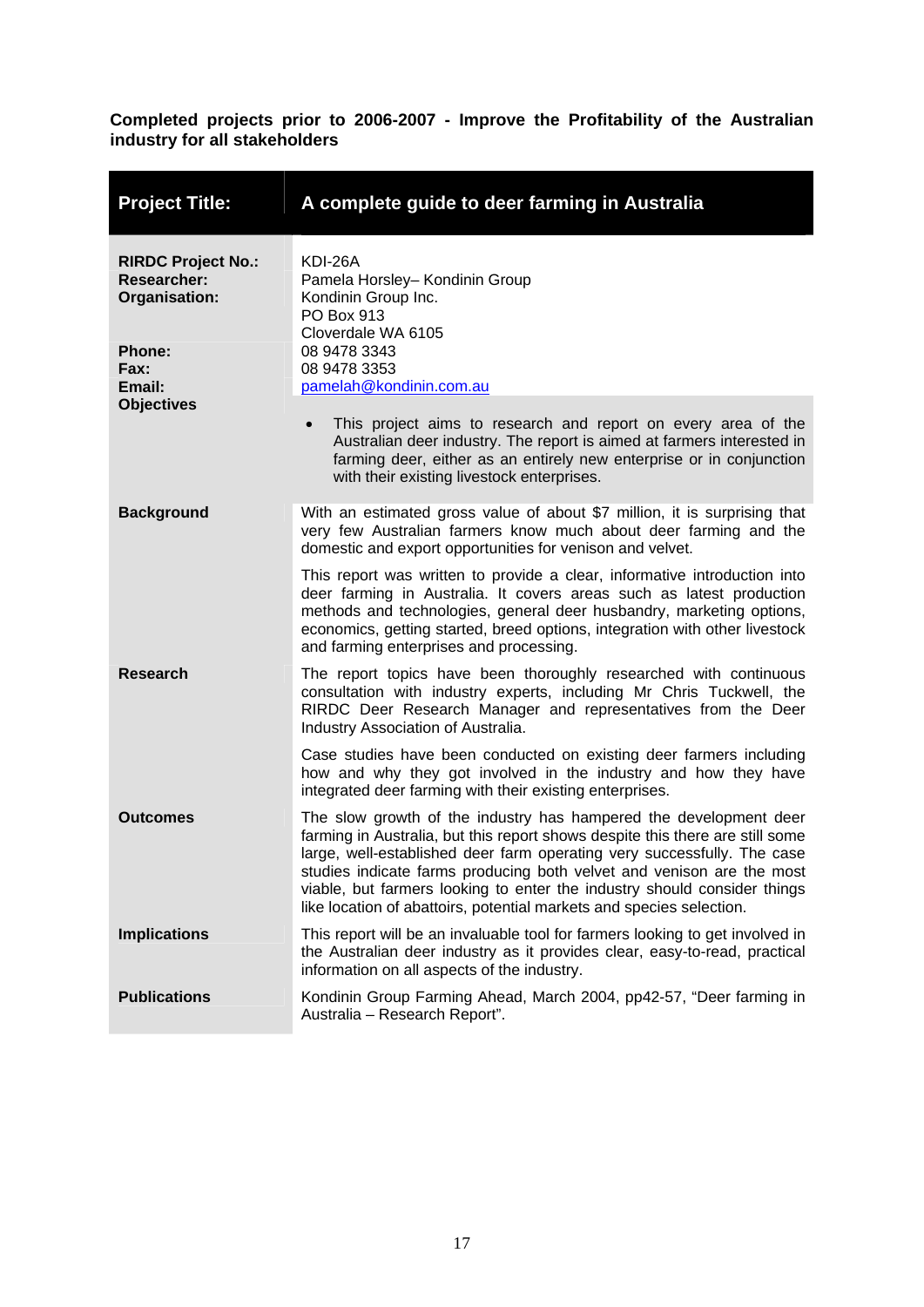<span id="page-21-0"></span>

| <b>Project Title:</b>                                            | A complete guide to deer farming in Australia                                                                                                                                                                                                                                                                                                                                                                                                              |  |  |
|------------------------------------------------------------------|------------------------------------------------------------------------------------------------------------------------------------------------------------------------------------------------------------------------------------------------------------------------------------------------------------------------------------------------------------------------------------------------------------------------------------------------------------|--|--|
| <b>RIRDC Project No.:</b><br><b>Researcher:</b><br>Organisation: | KDI-26A<br>Pamela Horsley- Kondinin Group<br>Kondinin Group Inc.<br>PO Box 913<br>Cloverdale WA 6105                                                                                                                                                                                                                                                                                                                                                       |  |  |
| <b>Phone:</b><br>Fax:<br>Email:                                  | 08 9478 3343<br>08 9478 3353<br>pamelah@kondinin.com.au                                                                                                                                                                                                                                                                                                                                                                                                    |  |  |
| <b>Objectives</b>                                                | This project aims to research and report on every area of the<br>Australian deer industry. The report is aimed at farmers interested in<br>farming deer, either as an entirely new enterprise or in conjunction<br>with their existing livestock enterprises.                                                                                                                                                                                              |  |  |
| <b>Background</b>                                                | With an estimated gross value of about \$7 million, it is surprising that<br>very few Australian farmers know much about deer farming and the<br>domestic and export opportunities for venison and velvet.                                                                                                                                                                                                                                                 |  |  |
|                                                                  | This report was written to provide a clear, informative introduction into<br>deer farming in Australia. It covers areas such as latest production<br>methods and technologies, general deer husbandry, marketing options,<br>economics, getting started, breed options, integration with other livestock<br>and farming enterprises and processing.                                                                                                        |  |  |
| <b>Research</b>                                                  | The report topics have been thoroughly researched with continuous<br>consultation with industry experts, including Mr Chris Tuckwell, the<br>RIRDC Deer Research Manager and representatives from the Deer<br>Industry Association of Australia.                                                                                                                                                                                                           |  |  |
|                                                                  | Case studies have been conducted on existing deer farmers including<br>how and why they got involved in the industry and how they have<br>integrated deer farming with their existing enterprises.                                                                                                                                                                                                                                                         |  |  |
| <b>Outcomes</b>                                                  | The slow growth of the industry has hampered the development deer<br>farming in Australia, but this report shows despite this there are still some<br>large, well-established deer farm operating very successfully. The case<br>studies indicate farms producing both velvet and venison are the most<br>viable, but farmers looking to enter the industry should consider things<br>like location of abattoirs, potential markets and species selection. |  |  |
| <b>Implications</b>                                              | This report will be an invaluable tool for farmers looking to get involved in<br>the Australian deer industry as it provides clear, easy-to-read, practical<br>information on all aspects of the industry.                                                                                                                                                                                                                                                 |  |  |
| <b>Publications</b>                                              | Kondinin Group Farming Ahead, March 2004, pp42-57, "Deer farming in<br>Australia - Research Report".                                                                                                                                                                                                                                                                                                                                                       |  |  |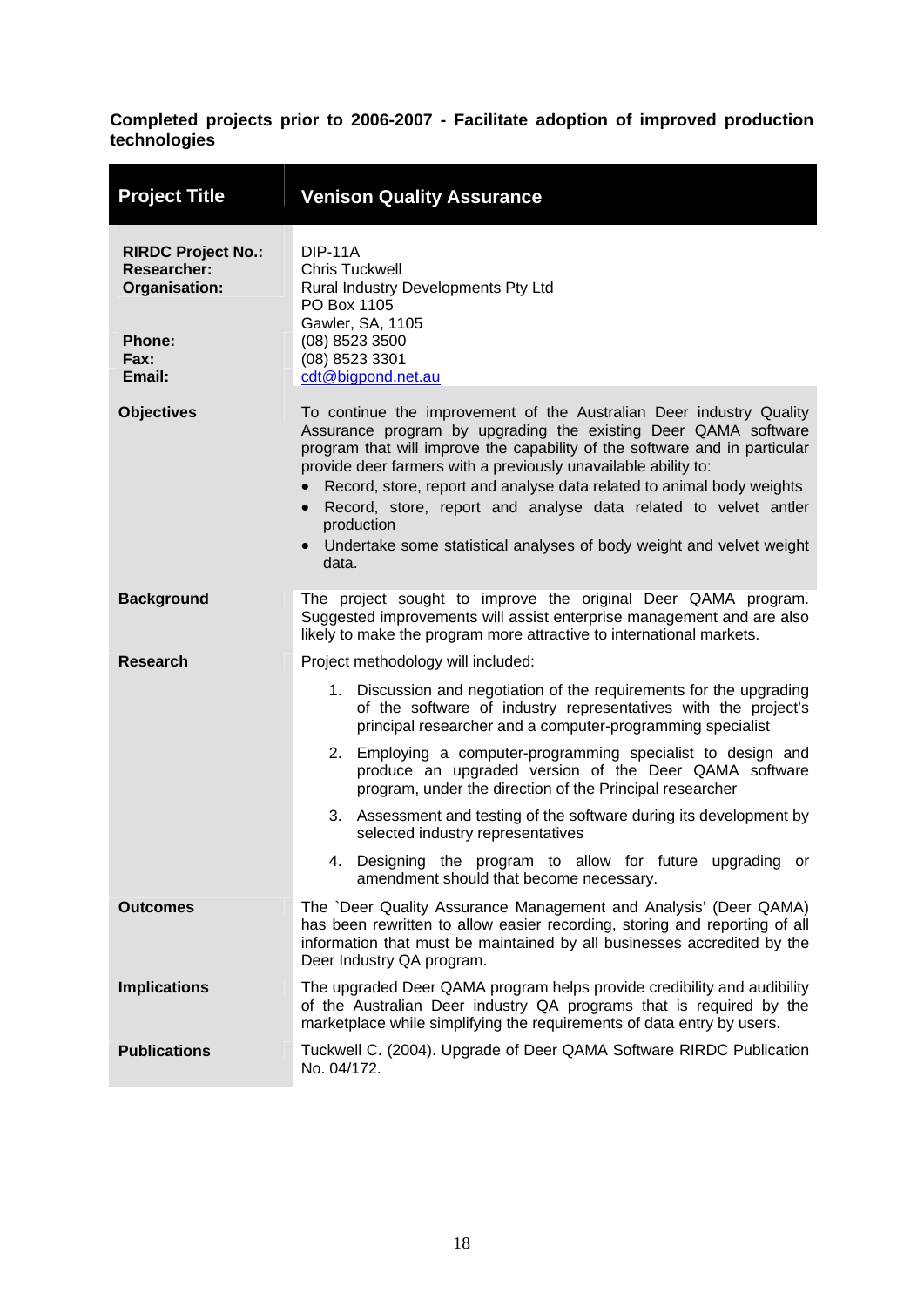<span id="page-22-0"></span>

| <b>Project Title</b>                                                                         | <b>Venison Quality Assurance</b>                                                                                                                                                                                                                                                                                                                                                                                                                                                                                                                           |  |  |
|----------------------------------------------------------------------------------------------|------------------------------------------------------------------------------------------------------------------------------------------------------------------------------------------------------------------------------------------------------------------------------------------------------------------------------------------------------------------------------------------------------------------------------------------------------------------------------------------------------------------------------------------------------------|--|--|
| <b>RIRDC Project No.:</b><br><b>Researcher:</b><br>Organisation:<br>Phone:<br>Fax:<br>Email: | <b>DIP-11A</b><br><b>Chris Tuckwell</b><br>Rural Industry Developments Pty Ltd<br>PO Box 1105<br>Gawler, SA, 1105<br>(08) 8523 3500<br>(08) 8523 3301<br>cdt@bigpond.net.au                                                                                                                                                                                                                                                                                                                                                                                |  |  |
| <b>Objectives</b>                                                                            | To continue the improvement of the Australian Deer industry Quality<br>Assurance program by upgrading the existing Deer QAMA software<br>program that will improve the capability of the software and in particular<br>provide deer farmers with a previously unavailable ability to:<br>Record, store, report and analyse data related to animal body weights<br>Record, store, report and analyse data related to velvet antler<br>$\bullet$<br>production<br>Undertake some statistical analyses of body weight and velvet weight<br>$\bullet$<br>data. |  |  |
| <b>Background</b>                                                                            | The project sought to improve the original Deer QAMA program.<br>Suggested improvements will assist enterprise management and are also<br>likely to make the program more attractive to international markets.                                                                                                                                                                                                                                                                                                                                             |  |  |
| <b>Research</b>                                                                              | Project methodology will included:                                                                                                                                                                                                                                                                                                                                                                                                                                                                                                                         |  |  |
|                                                                                              | 1. Discussion and negotiation of the requirements for the upgrading<br>of the software of industry representatives with the project's<br>principal researcher and a computer-programming specialist                                                                                                                                                                                                                                                                                                                                                        |  |  |
|                                                                                              | 2. Employing a computer-programming specialist to design and<br>produce an upgraded version of the Deer QAMA software<br>program, under the direction of the Principal researcher                                                                                                                                                                                                                                                                                                                                                                          |  |  |
|                                                                                              | 3. Assessment and testing of the software during its development by<br>selected industry representatives                                                                                                                                                                                                                                                                                                                                                                                                                                                   |  |  |
|                                                                                              | 4. Designing the program to allow for future upgrading or<br>amendment should that become necessary.                                                                                                                                                                                                                                                                                                                                                                                                                                                       |  |  |
| <b>Outcomes</b>                                                                              | The `Deer Quality Assurance Management and Analysis' (Deer QAMA)<br>has been rewritten to allow easier recording, storing and reporting of all<br>information that must be maintained by all businesses accredited by the<br>Deer Industry QA program.                                                                                                                                                                                                                                                                                                     |  |  |
| <b>Implications</b>                                                                          | The upgraded Deer QAMA program helps provide credibility and audibility<br>of the Australian Deer industry QA programs that is required by the<br>marketplace while simplifying the requirements of data entry by users.                                                                                                                                                                                                                                                                                                                                   |  |  |
| <b>Publications</b>                                                                          | Tuckwell C. (2004). Upgrade of Deer QAMA Software RIRDC Publication<br>No. 04/172.                                                                                                                                                                                                                                                                                                                                                                                                                                                                         |  |  |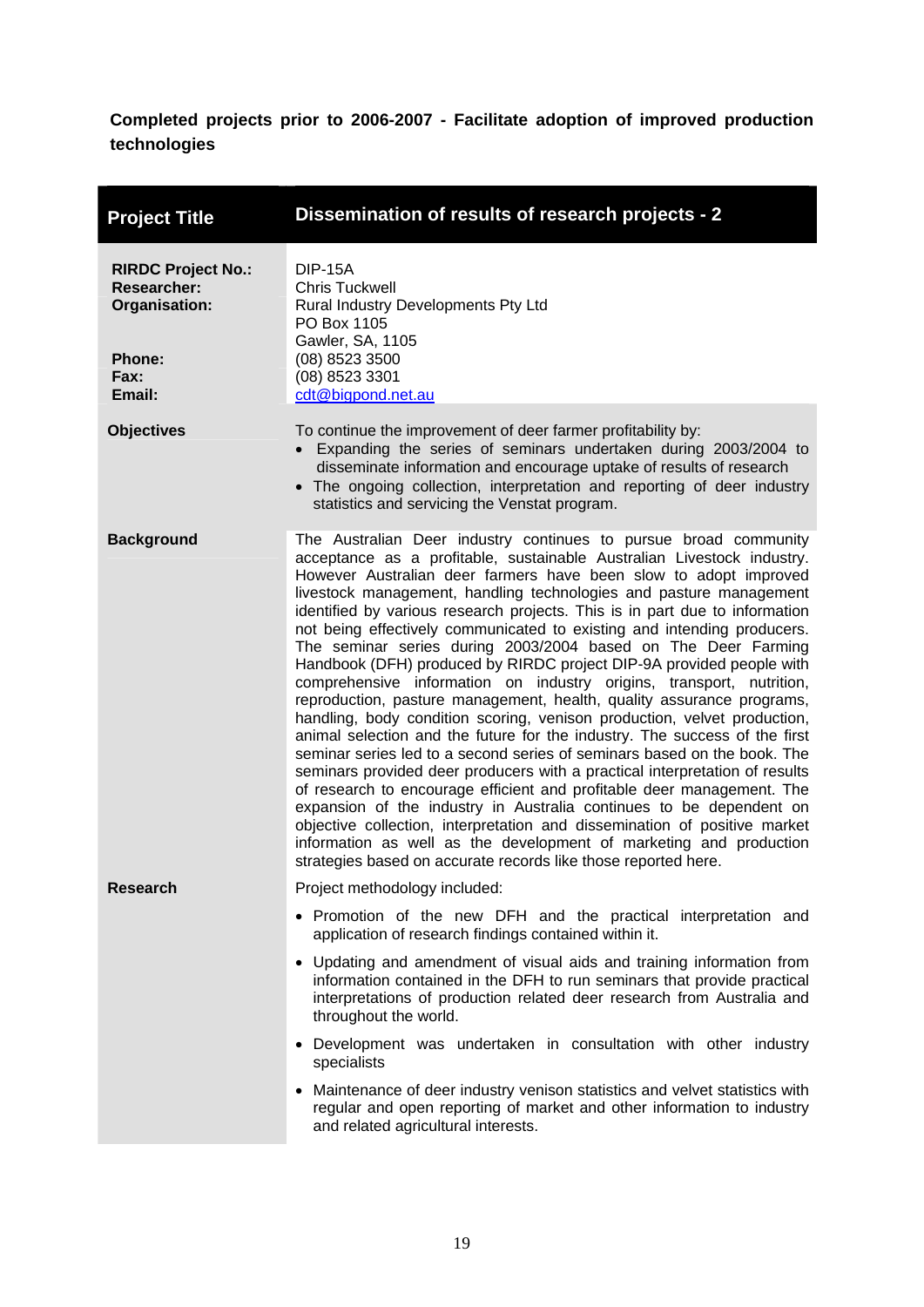<span id="page-23-0"></span>

| <b>Project Title</b>                                                                                | Dissemination of results of research projects - 2                                                                                                                                                                                                                                                                                                                                                                                                                                                                                                                                                                                                                                                                                                                                                                                                                                                                                                                                                                                                                                                                                                                                                                                                                                                                                                                                                                                   |  |  |
|-----------------------------------------------------------------------------------------------------|-------------------------------------------------------------------------------------------------------------------------------------------------------------------------------------------------------------------------------------------------------------------------------------------------------------------------------------------------------------------------------------------------------------------------------------------------------------------------------------------------------------------------------------------------------------------------------------------------------------------------------------------------------------------------------------------------------------------------------------------------------------------------------------------------------------------------------------------------------------------------------------------------------------------------------------------------------------------------------------------------------------------------------------------------------------------------------------------------------------------------------------------------------------------------------------------------------------------------------------------------------------------------------------------------------------------------------------------------------------------------------------------------------------------------------------|--|--|
| <b>RIRDC Project No.:</b><br><b>Researcher:</b><br>Organisation:<br><b>Phone:</b><br>Fax:<br>Email: | <b>DIP-15A</b><br><b>Chris Tuckwell</b><br>Rural Industry Developments Pty Ltd<br>PO Box 1105<br>Gawler, SA, 1105<br>(08) 8523 3500<br>(08) 8523 3301<br>cdt@bigpond.net.au                                                                                                                                                                                                                                                                                                                                                                                                                                                                                                                                                                                                                                                                                                                                                                                                                                                                                                                                                                                                                                                                                                                                                                                                                                                         |  |  |
| <b>Objectives</b>                                                                                   | To continue the improvement of deer farmer profitability by:<br>• Expanding the series of seminars undertaken during 2003/2004 to<br>disseminate information and encourage uptake of results of research<br>• The ongoing collection, interpretation and reporting of deer industry<br>statistics and servicing the Venstat program.                                                                                                                                                                                                                                                                                                                                                                                                                                                                                                                                                                                                                                                                                                                                                                                                                                                                                                                                                                                                                                                                                                |  |  |
| <b>Background</b>                                                                                   | The Australian Deer industry continues to pursue broad community<br>acceptance as a profitable, sustainable Australian Livestock industry.<br>However Australian deer farmers have been slow to adopt improved<br>livestock management, handling technologies and pasture management<br>identified by various research projects. This is in part due to information<br>not being effectively communicated to existing and intending producers.<br>The seminar series during 2003/2004 based on The Deer Farming<br>Handbook (DFH) produced by RIRDC project DIP-9A provided people with<br>comprehensive information on industry origins, transport, nutrition,<br>reproduction, pasture management, health, quality assurance programs,<br>handling, body condition scoring, venison production, velvet production,<br>animal selection and the future for the industry. The success of the first<br>seminar series led to a second series of seminars based on the book. The<br>seminars provided deer producers with a practical interpretation of results<br>of research to encourage efficient and profitable deer management. The<br>expansion of the industry in Australia continues to be dependent on<br>objective collection, interpretation and dissemination of positive market<br>information as well as the development of marketing and production<br>strategies based on accurate records like those reported here. |  |  |
| Researcn                                                                                            | Project methodology included:<br>• Promotion of the new DFH and the practical interpretation and<br>application of research findings contained within it.<br>• Updating and amendment of visual aids and training information from<br>information contained in the DFH to run seminars that provide practical<br>interpretations of production related deer research from Australia and<br>throughout the world.<br>• Development was undertaken in consultation with other industry<br>specialists<br>Maintenance of deer industry venison statistics and velvet statistics with<br>regular and open reporting of market and other information to industry<br>and related agricultural interests.                                                                                                                                                                                                                                                                                                                                                                                                                                                                                                                                                                                                                                                                                                                                  |  |  |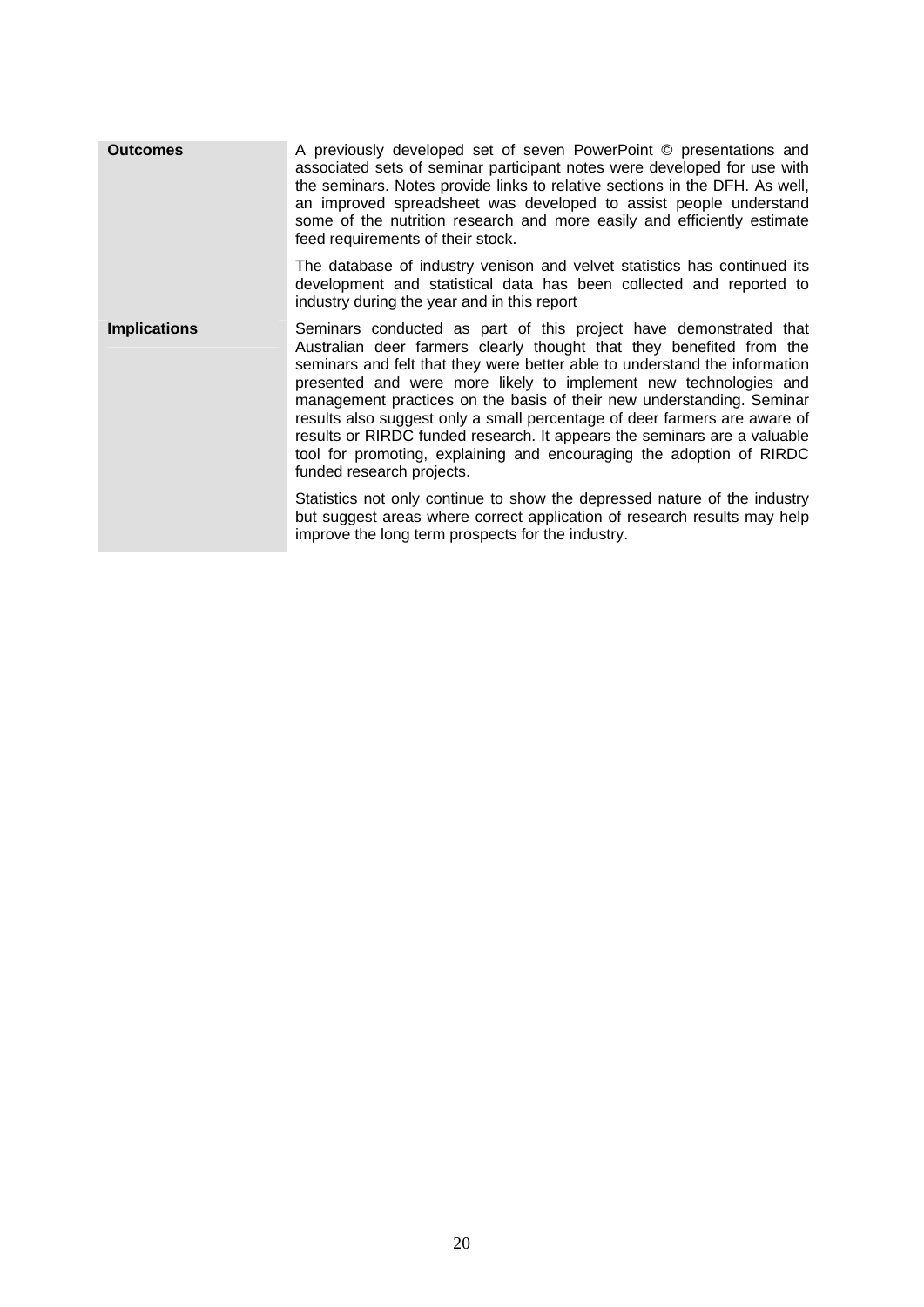| <b>Outcomes</b>     | A previously developed set of seven PowerPoint © presentations and<br>associated sets of seminar participant notes were developed for use with<br>the seminars. Notes provide links to relative sections in the DFH. As well,<br>an improved spreadsheet was developed to assist people understand<br>some of the nutrition research and more easily and efficiently estimate<br>feed requirements of their stock.                                                                                                                                                                                                                 |  |
|---------------------|------------------------------------------------------------------------------------------------------------------------------------------------------------------------------------------------------------------------------------------------------------------------------------------------------------------------------------------------------------------------------------------------------------------------------------------------------------------------------------------------------------------------------------------------------------------------------------------------------------------------------------|--|
|                     | The database of industry venison and velvet statistics has continued its<br>development and statistical data has been collected and reported to<br>industry during the year and in this report                                                                                                                                                                                                                                                                                                                                                                                                                                     |  |
| <b>Implications</b> | Seminars conducted as part of this project have demonstrated that<br>Australian deer farmers clearly thought that they benefited from the<br>seminars and felt that they were better able to understand the information<br>presented and were more likely to implement new technologies and<br>management practices on the basis of their new understanding. Seminar<br>results also suggest only a small percentage of deer farmers are aware of<br>results or RIRDC funded research. It appears the seminars are a valuable<br>tool for promoting, explaining and encouraging the adoption of RIRDC<br>funded research projects. |  |
|                     | Statistics not only continue to show the depressed nature of the industry<br>but suggest areas where correct application of research results may help<br>improve the long term prospects for the industry.                                                                                                                                                                                                                                                                                                                                                                                                                         |  |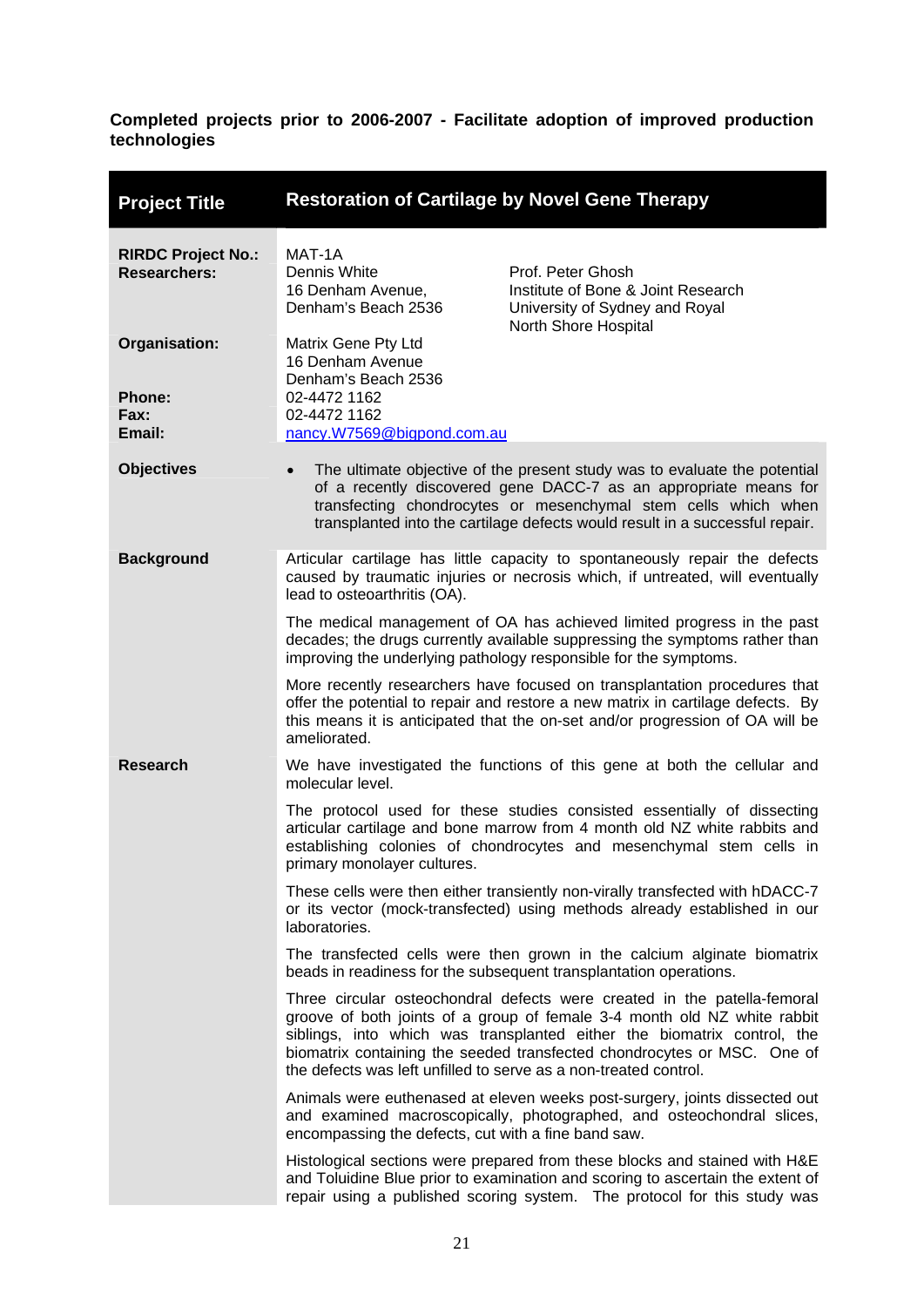<span id="page-25-0"></span>

| <b>Project Title</b>                                    | <b>Restoration of Cartilage by Novel Gene Therapy</b>                                                                                                                                                                                                                                                                                                                          |                                                                                                                                                                                                                                          |  |
|---------------------------------------------------------|--------------------------------------------------------------------------------------------------------------------------------------------------------------------------------------------------------------------------------------------------------------------------------------------------------------------------------------------------------------------------------|------------------------------------------------------------------------------------------------------------------------------------------------------------------------------------------------------------------------------------------|--|
| <b>RIRDC Project No.:</b><br><b>Researchers:</b>        | MAT-1A<br>Dennis White<br>16 Denham Avenue,<br>Denham's Beach 2536                                                                                                                                                                                                                                                                                                             | Prof. Peter Ghosh<br>Institute of Bone & Joint Research<br>University of Sydney and Royal<br>North Shore Hospital                                                                                                                        |  |
| Organisation:<br><b>Phone:</b><br><b>Fax:</b><br>Email: | Matrix Gene Pty Ltd<br>16 Denham Avenue<br>Denham's Beach 2536<br>02-4472 1162<br>02-4472 1162<br>nancy.W7569@bigpond.com.au                                                                                                                                                                                                                                                   |                                                                                                                                                                                                                                          |  |
| <b>Objectives</b>                                       | The ultimate objective of the present study was to evaluate the potential<br>of a recently discovered gene DACC-7 as an appropriate means for<br>transfecting chondrocytes or mesenchymal stem cells which when<br>transplanted into the cartilage defects would result in a successful repair.                                                                                |                                                                                                                                                                                                                                          |  |
| <b>Background</b>                                       | Articular cartilage has little capacity to spontaneously repair the defects<br>caused by traumatic injuries or necrosis which, if untreated, will eventually<br>lead to osteoarthritis (OA).                                                                                                                                                                                   |                                                                                                                                                                                                                                          |  |
|                                                         | The medical management of OA has achieved limited progress in the past<br>decades; the drugs currently available suppressing the symptoms rather than<br>improving the underlying pathology responsible for the symptoms.                                                                                                                                                      |                                                                                                                                                                                                                                          |  |
|                                                         | More recently researchers have focused on transplantation procedures that<br>offer the potential to repair and restore a new matrix in cartilage defects. By<br>this means it is anticipated that the on-set and/or progression of OA will be<br>ameliorated.                                                                                                                  |                                                                                                                                                                                                                                          |  |
| <b>Research</b>                                         | We have investigated the functions of this gene at both the cellular and<br>molecular level.                                                                                                                                                                                                                                                                                   |                                                                                                                                                                                                                                          |  |
|                                                         | The protocol used for these studies consisted essentially of dissecting<br>articular cartilage and bone marrow from 4 month old NZ white rabbits and<br>establishing colonies of chondrocytes and mesenchymal stem cells in<br>primary monolayer cultures.                                                                                                                     |                                                                                                                                                                                                                                          |  |
|                                                         | These cells were then either transiently non-virally transfected with hDACC-7<br>or its vector (mock-transfected) using methods already established in our<br>laboratories.                                                                                                                                                                                                    |                                                                                                                                                                                                                                          |  |
|                                                         | The transfected cells were then grown in the calcium alginate biomatrix<br>beads in readiness for the subsequent transplantation operations.                                                                                                                                                                                                                                   |                                                                                                                                                                                                                                          |  |
|                                                         | Three circular osteochondral defects were created in the patella-femoral<br>groove of both joints of a group of female 3-4 month old NZ white rabbit<br>siblings, into which was transplanted either the biomatrix control, the<br>biomatrix containing the seeded transfected chondrocytes or MSC. One of<br>the defects was left unfilled to serve as a non-treated control. |                                                                                                                                                                                                                                          |  |
|                                                         | encompassing the defects, cut with a fine band saw.                                                                                                                                                                                                                                                                                                                            | Animals were euthenased at eleven weeks post-surgery, joints dissected out<br>and examined macroscopically, photographed, and osteochondral slices,                                                                                      |  |
|                                                         |                                                                                                                                                                                                                                                                                                                                                                                | Histological sections were prepared from these blocks and stained with H&E<br>and Toluidine Blue prior to examination and scoring to ascertain the extent of<br>repair using a published scoring system. The protocol for this study was |  |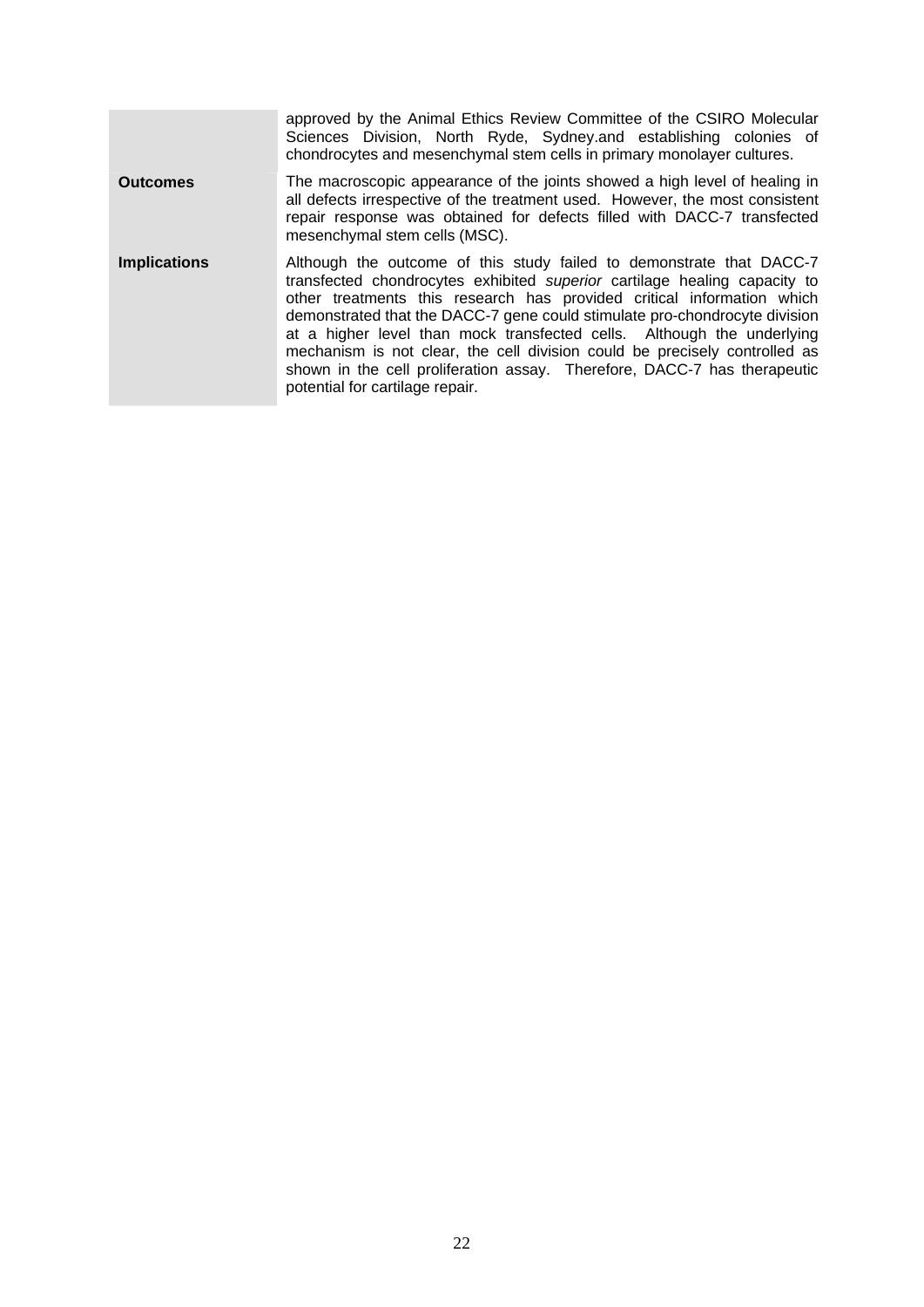approved by the Animal Ethics Review Committee of the CSIRO Molecular Sciences Division, North Ryde, Sydney.and establishing colonies of chondrocytes and mesenchymal stem cells in primary monolayer cultures. **Outcomes** The macroscopic appearance of the joints showed a high level of healing in all defects irrespective of the treatment used. However, the most consistent repair response was obtained for defects filled with DACC-7 transfected mesenchymal stem cells (MSC). **Implications** Although the outcome of this study failed to demonstrate that DACC-7 transfected chondrocytes exhibited *superior* cartilage healing capacity to other treatments this research has provided critical information which demonstrated that the DACC-7 gene could stimulate pro-chondrocyte division at a higher level than mock transfected cells. Although the underlying mechanism is not clear, the cell division could be precisely controlled as shown in the cell proliferation assay. Therefore, DACC-7 has therapeutic potential for cartilage repair.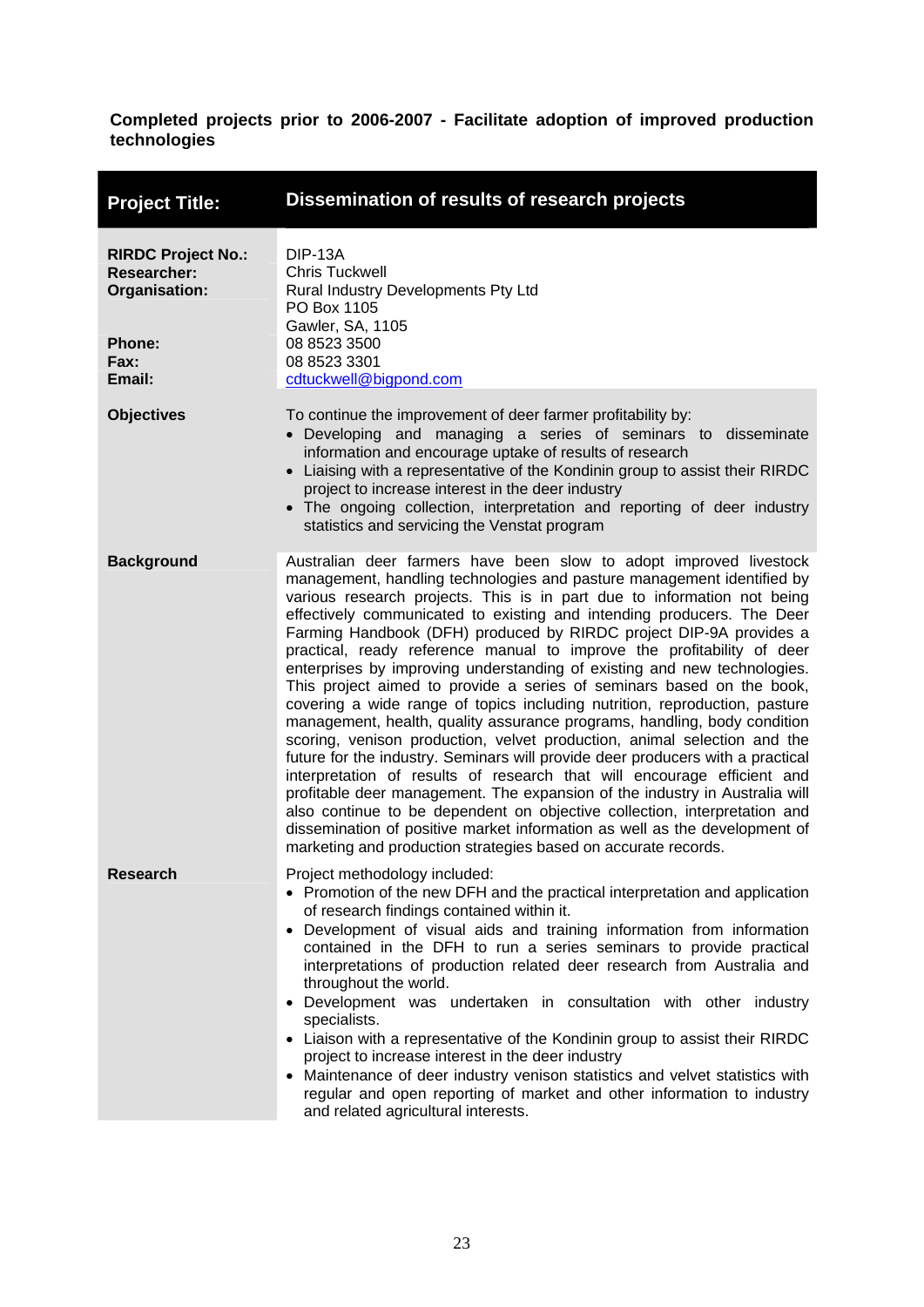<span id="page-27-0"></span>

| <b>Project Title:</b>                                                                               | Dissemination of results of research projects                                                                                                                                                                                                                                                                                                                                                                                                                                                                                                                                                                                                                                                                                                                                                                                                                                                                                                                                                                                                                                                                                                                                                                                                                                                                         |
|-----------------------------------------------------------------------------------------------------|-----------------------------------------------------------------------------------------------------------------------------------------------------------------------------------------------------------------------------------------------------------------------------------------------------------------------------------------------------------------------------------------------------------------------------------------------------------------------------------------------------------------------------------------------------------------------------------------------------------------------------------------------------------------------------------------------------------------------------------------------------------------------------------------------------------------------------------------------------------------------------------------------------------------------------------------------------------------------------------------------------------------------------------------------------------------------------------------------------------------------------------------------------------------------------------------------------------------------------------------------------------------------------------------------------------------------|
| <b>RIRDC Project No.:</b><br><b>Researcher:</b><br>Organisation:<br><b>Phone:</b><br>Fax:<br>Email: | <b>DIP-13A</b><br><b>Chris Tuckwell</b><br>Rural Industry Developments Pty Ltd<br>PO Box 1105<br>Gawler, SA, 1105<br>08 8523 3500<br>08 8523 3301<br>cdtuckwell@bigpond.com                                                                                                                                                                                                                                                                                                                                                                                                                                                                                                                                                                                                                                                                                                                                                                                                                                                                                                                                                                                                                                                                                                                                           |
| <b>Objectives</b>                                                                                   | To continue the improvement of deer farmer profitability by:<br>• Developing and managing a series of seminars to disseminate<br>information and encourage uptake of results of research<br>• Liaising with a representative of the Kondinin group to assist their RIRDC<br>project to increase interest in the deer industry<br>• The ongoing collection, interpretation and reporting of deer industry<br>statistics and servicing the Venstat program                                                                                                                                                                                                                                                                                                                                                                                                                                                                                                                                                                                                                                                                                                                                                                                                                                                              |
| <b>Background</b>                                                                                   | Australian deer farmers have been slow to adopt improved livestock<br>management, handling technologies and pasture management identified by<br>various research projects. This is in part due to information not being<br>effectively communicated to existing and intending producers. The Deer<br>Farming Handbook (DFH) produced by RIRDC project DIP-9A provides a<br>practical, ready reference manual to improve the profitability of deer<br>enterprises by improving understanding of existing and new technologies.<br>This project aimed to provide a series of seminars based on the book,<br>covering a wide range of topics including nutrition, reproduction, pasture<br>management, health, quality assurance programs, handling, body condition<br>scoring, venison production, velvet production, animal selection and the<br>future for the industry. Seminars will provide deer producers with a practical<br>interpretation of results of research that will encourage efficient and<br>profitable deer management. The expansion of the industry in Australia will<br>also continue to be dependent on objective collection, interpretation and<br>dissemination of positive market information as well as the development of<br>marketing and production strategies based on accurate records. |
| <b>Research</b>                                                                                     | Project methodology included:<br>• Promotion of the new DFH and the practical interpretation and application<br>of research findings contained within it.<br>Development of visual aids and training information from information<br>$\bullet$<br>contained in the DFH to run a series seminars to provide practical<br>interpretations of production related deer research from Australia and<br>throughout the world.<br>Development was undertaken in consultation with other industry<br>٠<br>specialists.<br>• Liaison with a representative of the Kondinin group to assist their RIRDC<br>project to increase interest in the deer industry<br>Maintenance of deer industry venison statistics and velvet statistics with<br>$\bullet$<br>regular and open reporting of market and other information to industry<br>and related agricultural interests.                                                                                                                                                                                                                                                                                                                                                                                                                                                        |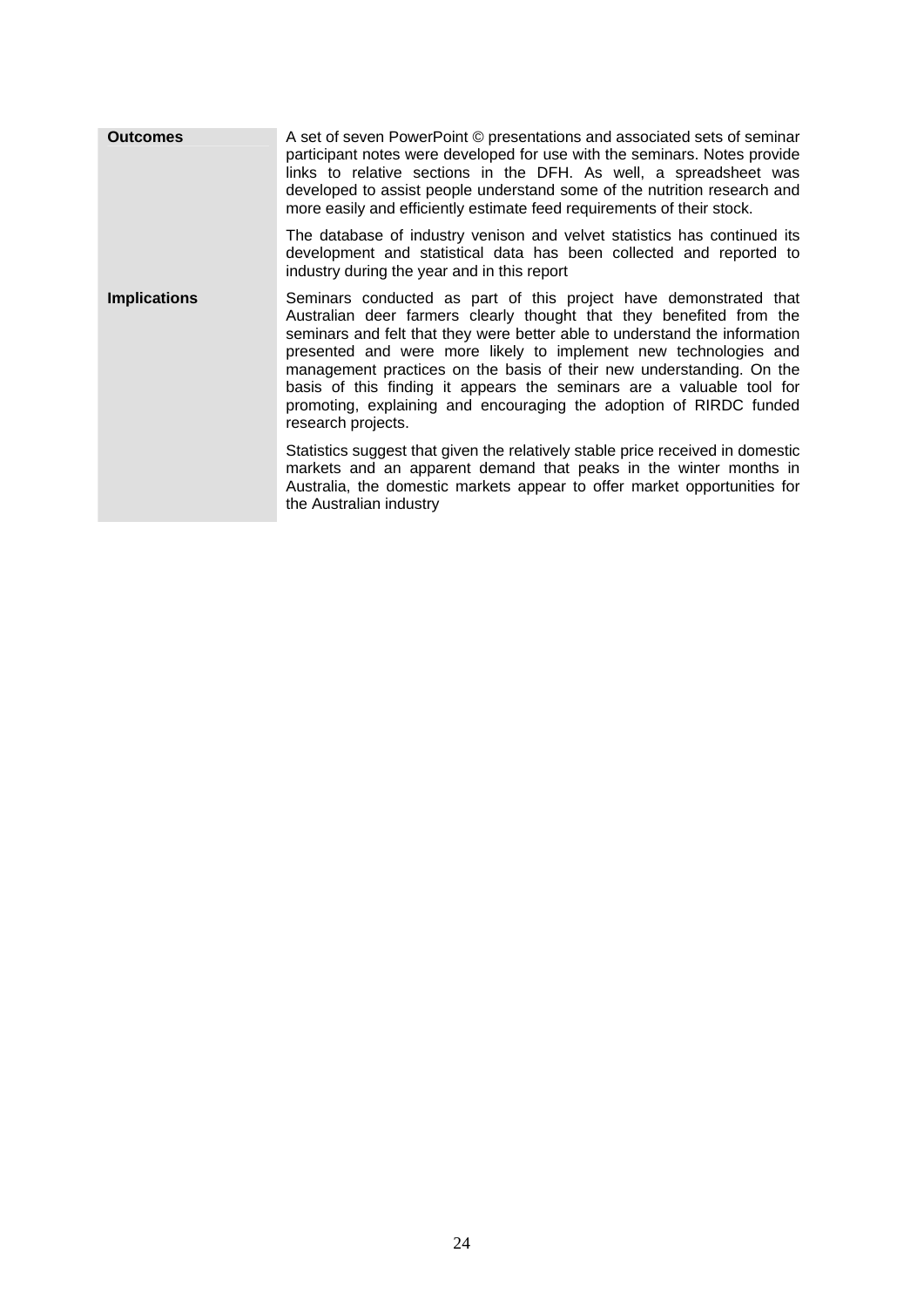| <b>Outcomes</b>     | A set of seven PowerPoint © presentations and associated sets of seminar<br>participant notes were developed for use with the seminars. Notes provide<br>links to relative sections in the DFH. As well, a spreadsheet was<br>developed to assist people understand some of the nutrition research and<br>more easily and efficiently estimate feed requirements of their stock.                                                                                                                                                         |
|---------------------|------------------------------------------------------------------------------------------------------------------------------------------------------------------------------------------------------------------------------------------------------------------------------------------------------------------------------------------------------------------------------------------------------------------------------------------------------------------------------------------------------------------------------------------|
|                     | The database of industry venison and velvet statistics has continued its<br>development and statistical data has been collected and reported to<br>industry during the year and in this report                                                                                                                                                                                                                                                                                                                                           |
| <b>Implications</b> | Seminars conducted as part of this project have demonstrated that<br>Australian deer farmers clearly thought that they benefited from the<br>seminars and felt that they were better able to understand the information<br>presented and were more likely to implement new technologies and<br>management practices on the basis of their new understanding. On the<br>basis of this finding it appears the seminars are a valuable tool for<br>promoting, explaining and encouraging the adoption of RIRDC funded<br>research projects. |
|                     | Statistics suggest that given the relatively stable price received in domestic<br>markets and an apparent demand that peaks in the winter months in<br>Australia, the domestic markets appear to offer market opportunities for<br>the Australian industry                                                                                                                                                                                                                                                                               |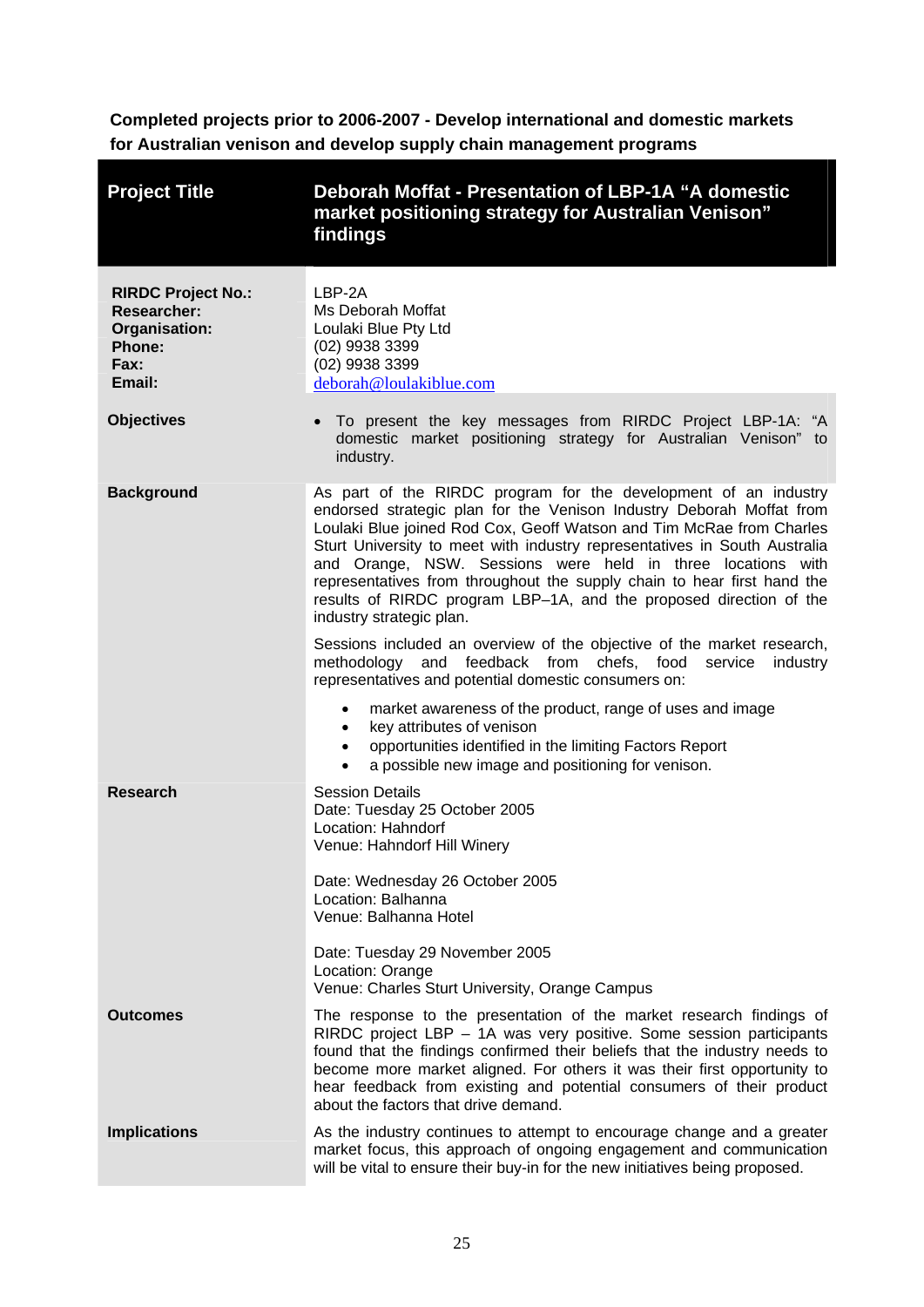<span id="page-29-0"></span>**Completed projects prior to 2006-2007 - Develop international and domestic markets for Australian venison and develop supply chain management programs** 

| <b>Project Title</b>                                                                         | Deborah Moffat - Presentation of LBP-1A "A domestic<br>market positioning strategy for Australian Venison"<br>findings                                                                                                                                                                                                                                                                                                                                                                                                                   |
|----------------------------------------------------------------------------------------------|------------------------------------------------------------------------------------------------------------------------------------------------------------------------------------------------------------------------------------------------------------------------------------------------------------------------------------------------------------------------------------------------------------------------------------------------------------------------------------------------------------------------------------------|
| <b>RIRDC Project No.:</b><br><b>Researcher:</b><br>Organisation:<br>Phone:<br>Fax:<br>Email: | LBP-2A<br>Ms Deborah Moffat<br>Loulaki Blue Pty Ltd<br>(02) 9938 3399<br>(02) 9938 3399<br>deborah@loulakiblue.com                                                                                                                                                                                                                                                                                                                                                                                                                       |
| <b>Objectives</b>                                                                            | • To present the key messages from RIRDC Project LBP-1A: "A<br>domestic market positioning strategy for Australian Venison" to<br>industry.                                                                                                                                                                                                                                                                                                                                                                                              |
| <b>Background</b>                                                                            | As part of the RIRDC program for the development of an industry<br>endorsed strategic plan for the Venison Industry Deborah Moffat from<br>Loulaki Blue joined Rod Cox, Geoff Watson and Tim McRae from Charles<br>Sturt University to meet with industry representatives in South Australia<br>and Orange, NSW. Sessions were held in three locations with<br>representatives from throughout the supply chain to hear first hand the<br>results of RIRDC program LBP-1A, and the proposed direction of the<br>industry strategic plan. |
|                                                                                              | Sessions included an overview of the objective of the market research,<br>methodology and feedback from chefs, food service<br>industry<br>representatives and potential domestic consumers on:                                                                                                                                                                                                                                                                                                                                          |
|                                                                                              | market awareness of the product, range of uses and image<br>key attributes of venison<br>$\bullet$<br>opportunities identified in the limiting Factors Report<br>$\bullet$<br>a possible new image and positioning for venison.                                                                                                                                                                                                                                                                                                          |
| <b>Research</b>                                                                              | <b>Session Details</b><br>Date: Tuesday 25 October 2005<br>Location: Hahndorf<br>Venue: Hahndorf Hill Winery<br>Date: Wednesday 26 October 2005                                                                                                                                                                                                                                                                                                                                                                                          |
|                                                                                              | Location: Balhanna<br>Venue: Balhanna Hotel                                                                                                                                                                                                                                                                                                                                                                                                                                                                                              |
|                                                                                              | Date: Tuesday 29 November 2005<br>Location: Orange<br>Venue: Charles Sturt University, Orange Campus                                                                                                                                                                                                                                                                                                                                                                                                                                     |
| <b>Outcomes</b>                                                                              | The response to the presentation of the market research findings of<br>RIRDC project LBP - 1A was very positive. Some session participants<br>found that the findings confirmed their beliefs that the industry needs to<br>become more market aligned. For others it was their first opportunity to<br>hear feedback from existing and potential consumers of their product<br>about the factors that drive demand.                                                                                                                     |
| <b>Implications</b>                                                                          | As the industry continues to attempt to encourage change and a greater<br>market focus, this approach of ongoing engagement and communication<br>will be vital to ensure their buy-in for the new initiatives being proposed.                                                                                                                                                                                                                                                                                                            |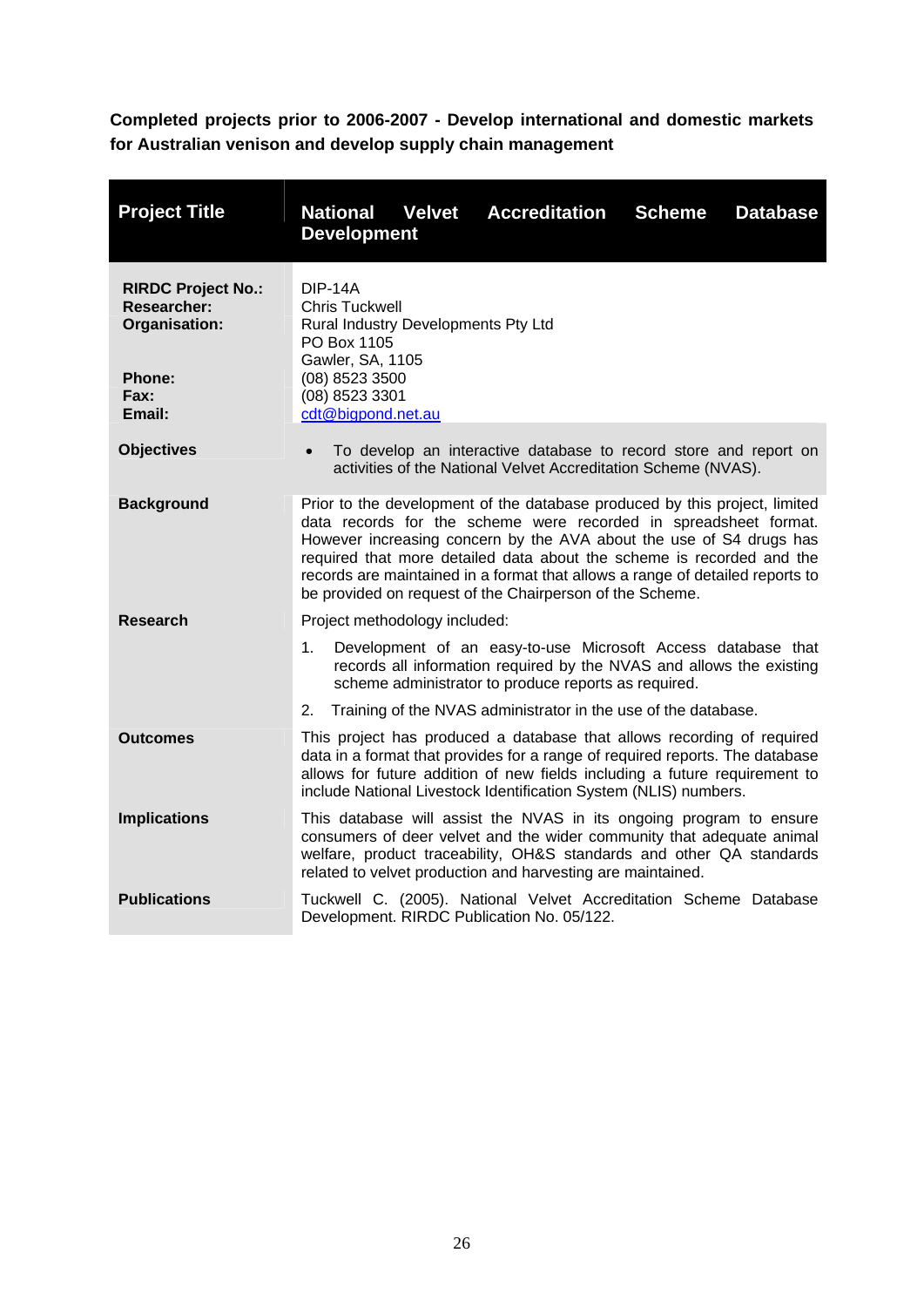<span id="page-30-0"></span>**Completed projects prior to 2006-2007 - Develop international and domestic markets for Australian venison and develop supply chain management** 

| <b>Project Title</b>                                                                                | <b>National Velvet</b><br><b>Accreditation</b><br><b>Scheme</b><br><b>Database</b><br><b>Development</b>                                                                                                                                                                                                                                                                                                                                    |
|-----------------------------------------------------------------------------------------------------|---------------------------------------------------------------------------------------------------------------------------------------------------------------------------------------------------------------------------------------------------------------------------------------------------------------------------------------------------------------------------------------------------------------------------------------------|
| <b>RIRDC Project No.:</b><br><b>Researcher:</b><br>Organisation:<br><b>Phone:</b><br>Fax:<br>Email: | <b>DIP-14A</b><br><b>Chris Tuckwell</b><br>Rural Industry Developments Pty Ltd<br>PO Box 1105<br>Gawler, SA, 1105<br>(08) 8523 3500<br>(08) 8523 3301<br>cdt@bigpond.net.au                                                                                                                                                                                                                                                                 |
| <b>Objectives</b>                                                                                   | To develop an interactive database to record store and report on<br>activities of the National Velvet Accreditation Scheme (NVAS).                                                                                                                                                                                                                                                                                                          |
| <b>Background</b>                                                                                   | Prior to the development of the database produced by this project, limited<br>data records for the scheme were recorded in spreadsheet format.<br>However increasing concern by the AVA about the use of S4 drugs has<br>required that more detailed data about the scheme is recorded and the<br>records are maintained in a format that allows a range of detailed reports to<br>be provided on request of the Chairperson of the Scheme. |
| <b>Research</b>                                                                                     | Project methodology included:                                                                                                                                                                                                                                                                                                                                                                                                               |
|                                                                                                     | Development of an easy-to-use Microsoft Access database that<br>1.<br>records all information required by the NVAS and allows the existing<br>scheme administrator to produce reports as required.                                                                                                                                                                                                                                          |
|                                                                                                     | Training of the NVAS administrator in the use of the database.<br>2.                                                                                                                                                                                                                                                                                                                                                                        |
| <b>Outcomes</b>                                                                                     | This project has produced a database that allows recording of required<br>data in a format that provides for a range of required reports. The database<br>allows for future addition of new fields including a future requirement to<br>include National Livestock Identification System (NLIS) numbers.                                                                                                                                    |
| <b>Implications</b>                                                                                 | This database will assist the NVAS in its ongoing program to ensure<br>consumers of deer velvet and the wider community that adequate animal<br>welfare, product traceability, OH&S standards and other QA standards<br>related to velvet production and harvesting are maintained.                                                                                                                                                         |
| <b>Publications</b>                                                                                 | Tuckwell C. (2005). National Velvet Accreditation Scheme Database<br>Development. RIRDC Publication No. 05/122.                                                                                                                                                                                                                                                                                                                             |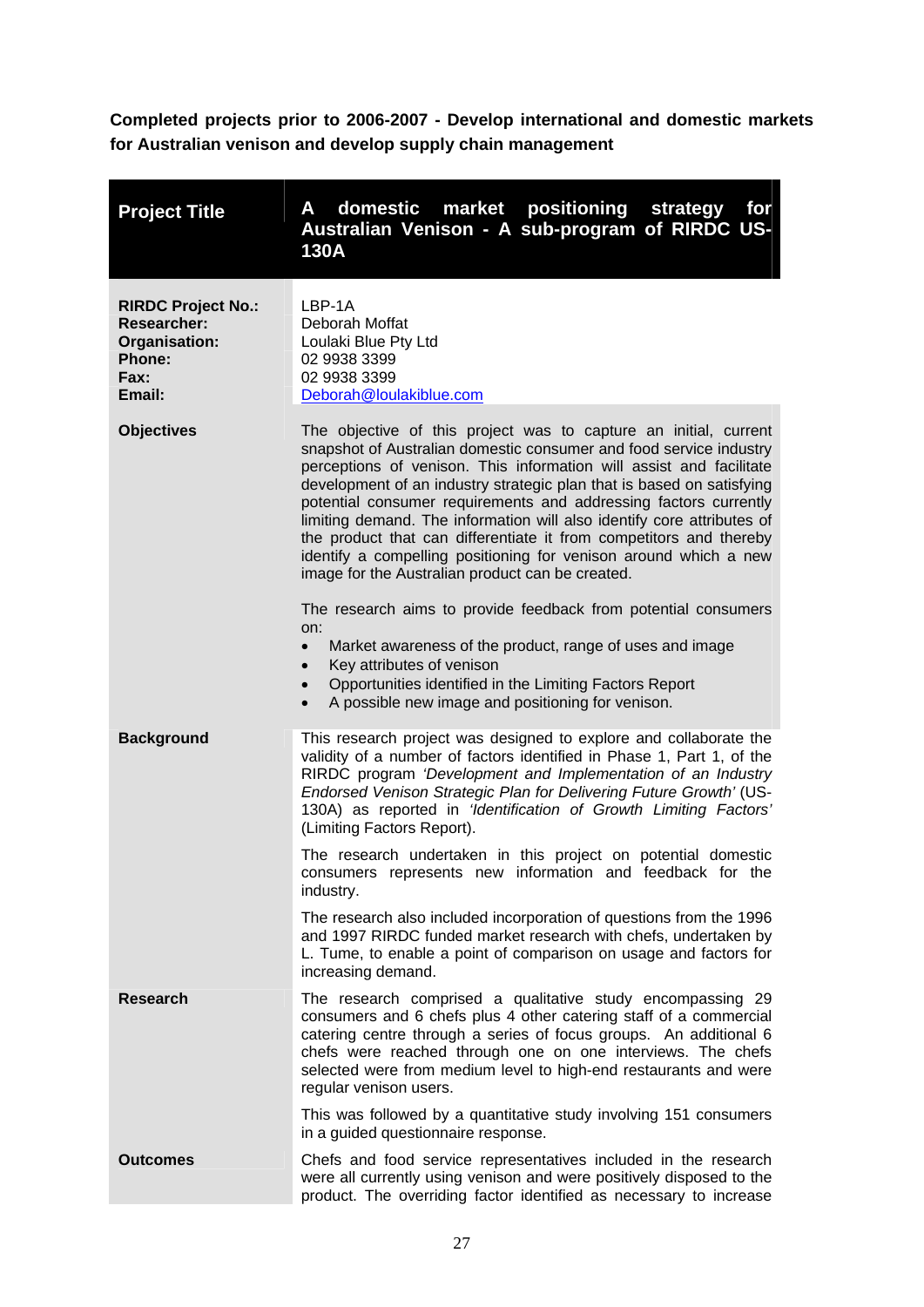<span id="page-31-0"></span>**Completed projects prior to 2006-2007 - Develop international and domestic markets for Australian venison and develop supply chain management** 

| <b>Project Title</b>                                                                                | domestic market positioning<br>A<br>for<br>strategy<br>Australian Venison - A sub-program of RIRDC US-<br>130A                                                                                                                                                                                                                                                                                                                                                                                                                                                                                                                     |
|-----------------------------------------------------------------------------------------------------|------------------------------------------------------------------------------------------------------------------------------------------------------------------------------------------------------------------------------------------------------------------------------------------------------------------------------------------------------------------------------------------------------------------------------------------------------------------------------------------------------------------------------------------------------------------------------------------------------------------------------------|
| <b>RIRDC Project No.:</b><br><b>Researcher:</b><br>Organisation:<br><b>Phone:</b><br>Fax:<br>Email: | LBP-1A<br>Deborah Moffat<br>Loulaki Blue Pty Ltd<br>02 9938 3399<br>02 9938 3399<br>Deborah@loulakiblue.com                                                                                                                                                                                                                                                                                                                                                                                                                                                                                                                        |
| <b>Objectives</b>                                                                                   | The objective of this project was to capture an initial, current<br>snapshot of Australian domestic consumer and food service industry<br>perceptions of venison. This information will assist and facilitate<br>development of an industry strategic plan that is based on satisfying<br>potential consumer requirements and addressing factors currently<br>limiting demand. The information will also identify core attributes of<br>the product that can differentiate it from competitors and thereby<br>identify a compelling positioning for venison around which a new<br>image for the Australian product can be created. |
|                                                                                                     | The research aims to provide feedback from potential consumers<br>on:<br>Market awareness of the product, range of uses and image<br>$\bullet$<br>Key attributes of venison<br>$\bullet$<br>Opportunities identified in the Limiting Factors Report<br>$\bullet$<br>A possible new image and positioning for venison.<br>$\bullet$                                                                                                                                                                                                                                                                                                 |
| <b>Background</b>                                                                                   | This research project was designed to explore and collaborate the<br>validity of a number of factors identified in Phase 1, Part 1, of the<br>RIRDC program 'Development and Implementation of an Industry<br>Endorsed Venison Strategic Plan for Delivering Future Growth' (US-<br>130A) as reported in 'Identification of Growth Limiting Factors'<br>(Limiting Factors Report).                                                                                                                                                                                                                                                 |
|                                                                                                     | The research undertaken in this project on potential domestic<br>consumers represents new information and feedback for the<br>industry.                                                                                                                                                                                                                                                                                                                                                                                                                                                                                            |
|                                                                                                     | The research also included incorporation of questions from the 1996<br>and 1997 RIRDC funded market research with chefs, undertaken by<br>L. Tume, to enable a point of comparison on usage and factors for<br>increasing demand.                                                                                                                                                                                                                                                                                                                                                                                                  |
| <b>Research</b>                                                                                     | The research comprised a qualitative study encompassing 29<br>consumers and 6 chefs plus 4 other catering staff of a commercial<br>catering centre through a series of focus groups. An additional 6<br>chefs were reached through one on one interviews. The chefs<br>selected were from medium level to high-end restaurants and were<br>regular venison users.                                                                                                                                                                                                                                                                  |
|                                                                                                     | This was followed by a quantitative study involving 151 consumers<br>in a guided questionnaire response.                                                                                                                                                                                                                                                                                                                                                                                                                                                                                                                           |
| <b>Outcomes</b>                                                                                     | Chefs and food service representatives included in the research<br>were all currently using venison and were positively disposed to the<br>product. The overriding factor identified as necessary to increase                                                                                                                                                                                                                                                                                                                                                                                                                      |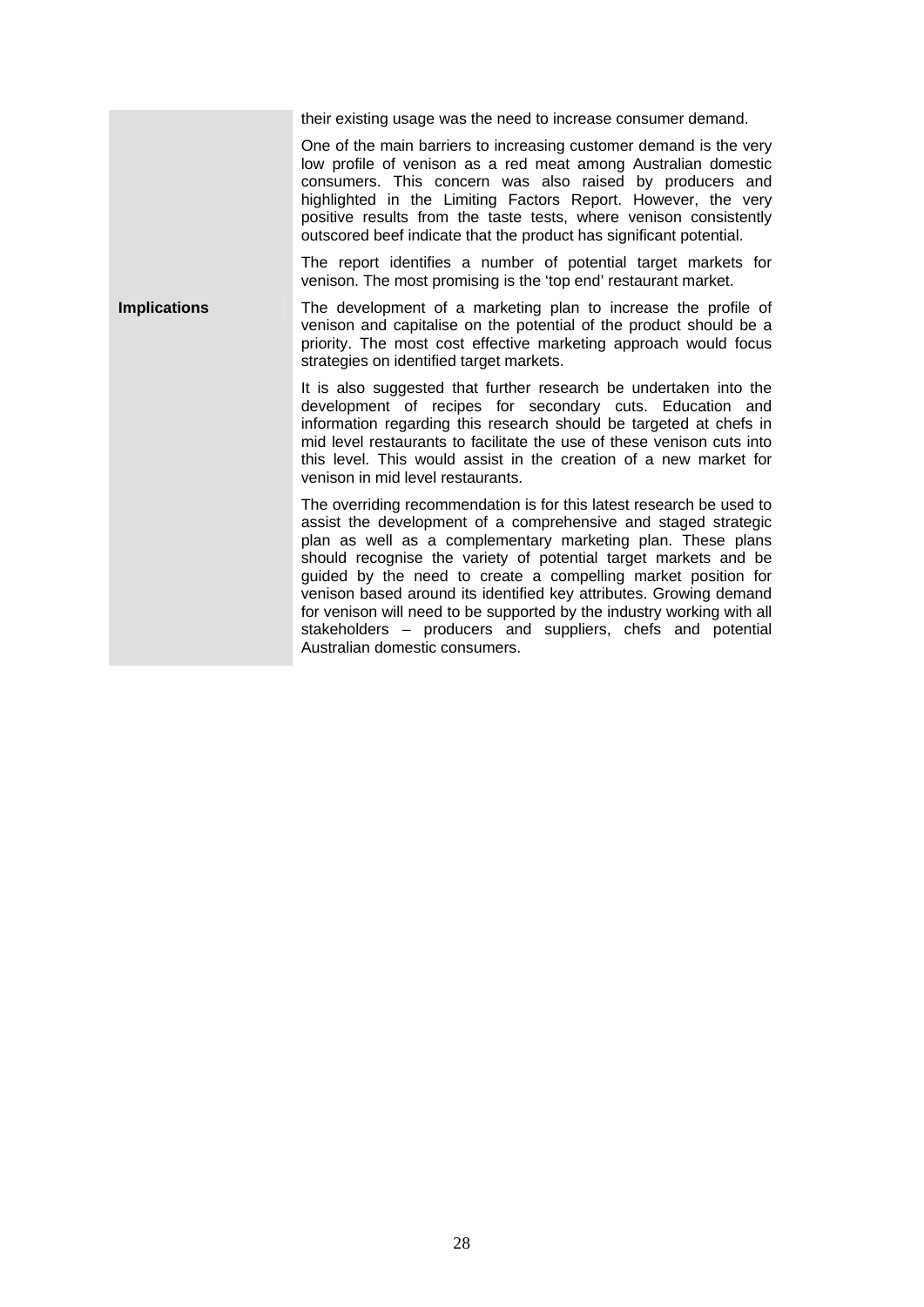their existing usage was the need to increase consumer demand.

One of the main barriers to increasing customer demand is the very low profile of venison as a red meat among Australian domestic consumers. This concern was also raised by producers and highlighted in the Limiting Factors Report. However, the very positive results from the taste tests, where venison consistently outscored beef indicate that the product has significant potential.

The report identifies a number of potential target markets for venison. The most promising is the 'top end' restaurant market.

**Implications The development of a marketing plan to increase the profile of** venison and capitalise on the potential of the product should be a priority. The most cost effective marketing approach would focus strategies on identified target markets.

> It is also suggested that further research be undertaken into the development of recipes for secondary cuts. Education and information regarding this research should be targeted at chefs in mid level restaurants to facilitate the use of these venison cuts into this level. This would assist in the creation of a new market for venison in mid level restaurants.

> The overriding recommendation is for this latest research be used to assist the development of a comprehensive and staged strategic plan as well as a complementary marketing plan. These plans should recognise the variety of potential target markets and be guided by the need to create a compelling market position for venison based around its identified key attributes. Growing demand for venison will need to be supported by the industry working with all stakeholders – producers and suppliers, chefs and potential Australian domestic consumers.